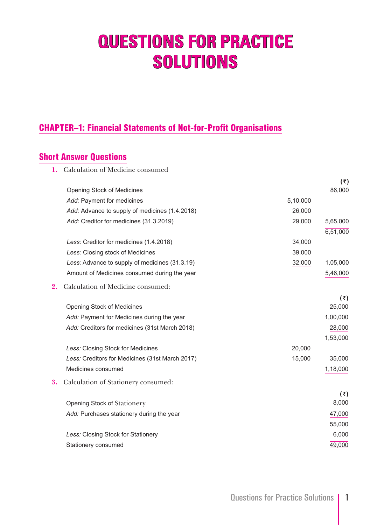# **QUESTIONS FOR PRACTICE SOLUTIONS**

# CHAPTER–1: Financial Statements of Not-for-Profit Organisations

# Short Answer Questions

**1.** Calculation of Medicine consumed

|    |                                                 |          | $(\overline{\tau})$ |
|----|-------------------------------------------------|----------|---------------------|
|    | Opening Stock of Medicines                      |          | 86,000              |
|    | Add: Payment for medicines                      | 5,10,000 |                     |
|    | Add: Advance to supply of medicines (1.4.2018)  | 26,000   |                     |
|    | Add: Creditor for medicines (31.3.2019)         | 29,000   | 5,65,000            |
|    |                                                 |          | 6,51,000            |
|    | Less: Creditor for medicines (1.4.2018)         | 34,000   |                     |
|    | Less: Closing stock of Medicines                | 39,000   |                     |
|    | Less: Advance to supply of medicines (31.3.19)  | 32,000   | 1,05,000            |
|    | Amount of Medicines consumed during the year    |          | 5,46,000            |
| 2. | Calculation of Medicine consumed:               |          |                     |
|    |                                                 |          | (₹)                 |
|    | Opening Stock of Medicines                      |          | 25,000              |
|    | Add: Payment for Medicines during the year      |          | 1,00,000            |
|    | Add: Creditors for medicines (31st March 2018)  |          | 28,000              |
|    |                                                 |          | 1,53,000            |
|    | Less: Closing Stock for Medicines               | 20,000   |                     |
|    | Less: Creditors for Medicines (31st March 2017) | 15,000   | 35,000              |
|    | Medicines consumed                              |          | 1,18,000            |
| 3. | Calculation of Stationery consumed:             |          |                     |
|    |                                                 |          | (₹)                 |
|    | Opening Stock of Stationery                     |          | 8,000               |
|    | Add: Purchases stationery during the year       |          | 47,000              |
|    |                                                 |          | 55,000              |
|    | Less: Closing Stock for Stationery              |          | 6,000               |
|    | Stationery consumed                             |          | 49,000              |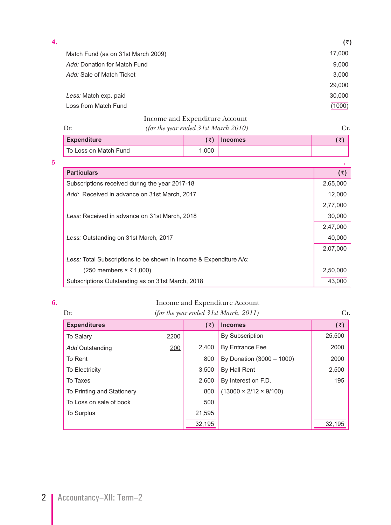| 4. |                                    | (₹)    |
|----|------------------------------------|--------|
|    | Match Fund (as on 31st March 2009) | 17,000 |
|    | Add: Donation for Match Fund       | 9,000  |
|    | Add: Sale of Match Ticket          | 3,000  |
|    |                                    | 29,000 |
|    | Less: Match exp. paid              | 30,000 |
|    | Loss from Match Fund               | (1000) |
|    |                                    |        |

### Income and Expenditure Account

To Loss on Match Fund 1,000

|                    | (for the year ended $31st$ March $2010$ ) |                |  |
|--------------------|-------------------------------------------|----------------|--|
| <b>Expenditure</b> |                                           | <b>Incomes</b> |  |

| 5                                                                  |          |
|--------------------------------------------------------------------|----------|
| <b>Particulars</b>                                                 | (₹)      |
| Subscriptions received during the year 2017-18                     | 2,65,000 |
| Add: Received in advance on 31st March, 2017                       | 12,000   |
|                                                                    | 2,77,000 |
| Less: Received in advance on 31st March, 2018                      | 30,000   |
|                                                                    | 2,47,000 |
| Less: Outstanding on 31st March, 2017                              | 40,000   |
|                                                                    | 2,07,000 |
| Less: Total Subscriptions to be shown in Income & Expenditure A/c: |          |
| $(250$ members $\times$ ₹1,000)                                    | 2,50,000 |
| Subscriptions Outstanding as on 31st March, 2018                   | 43.000   |

#### **6.** Income and Expenditure Account

| Dr.                        |      |        | (for the year ended $31st March, 2011$ ) | Cr.    |
|----------------------------|------|--------|------------------------------------------|--------|
| <b>Expenditures</b>        |      | (₹)    | <b>Incomes</b>                           | (5)    |
| <b>To Salary</b>           | 2200 |        | <b>By Subscription</b>                   | 25,500 |
| Add Outstanding            | 200  | 2.400  | By Entrance Fee                          | 2000   |
| To Rent                    |      | 800    | By Donation (3000 - 1000)                | 2000   |
| To Electricity             |      | 3.500  | By Hall Rent                             | 2,500  |
| To Taxes                   |      | 2.600  | By Interest on F.D.                      | 195    |
| To Printing and Stationery |      | 800    | $(13000 \times 2/12 \times 9/100)$       |        |
| To Loss on sale of book    |      | 500    |                                          |        |
| <b>To Surplus</b>          |      | 21,595 |                                          |        |
|                            |      | 32,195 |                                          | 32,195 |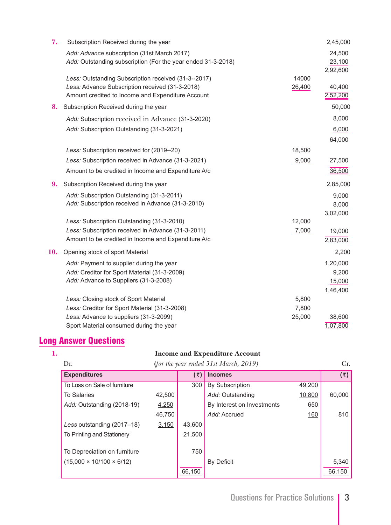| 7.  | Subscription Received during the year                                                                                                                        |                 | 2,45,000                                |
|-----|--------------------------------------------------------------------------------------------------------------------------------------------------------------|-----------------|-----------------------------------------|
|     | Add: Advance subscription (31st March 2017)<br>Add: Outstanding subscription (For the year ended 31-3-2018)                                                  |                 | 24,500<br>23,100<br>2,92,600            |
|     | Less: Outstanding Subscription received (31-3--2017)<br>Less: Advance Subscription received (31-3-2018)<br>Amount credited to Income and Expenditure Account | 14000<br>26,400 | 40,400<br>2,52,200                      |
| 8.  | Subscription Received during the year                                                                                                                        |                 | 50,000                                  |
|     | Add: Subscription received in Advance (31-3-2020)                                                                                                            |                 | 8,000                                   |
|     | Add: Subscription Outstanding (31-3-2021)                                                                                                                    |                 | 6,000<br>64,000                         |
|     | Less: Subscription received for (2019--20)                                                                                                                   | 18,500          |                                         |
|     | Less: Subscription received in Advance (31-3-2021)                                                                                                           | 9,000           | 27,500                                  |
|     | Amount to be credited in Income and Expenditure A/c                                                                                                          |                 | 36,500                                  |
| 9.  | Subscription Received during the year                                                                                                                        |                 | 2,85,000                                |
|     | Add: Subscription Outstanding (31-3-2011)<br>Add: Subscription received in Advance (31-3-2010)                                                               |                 | 9,000<br>8,000<br>3,02,000              |
|     | Less: Subscription Outstanding (31-3-2010)                                                                                                                   | 12,000          |                                         |
|     | Less: Subscription received in Advance (31-3-2011)<br>Amount to be credited in Income and Expenditure A/c                                                    | 7,000           | 19,000<br>2,83,000                      |
| 10. | Opening stock of sport Material                                                                                                                              |                 | 2,200                                   |
|     | Add: Payment to supplier during the year<br>Add: Creditor for Sport Material (31-3-2009)<br>Add: Advance to Suppliers (31-3-2008)                            |                 | 1,20,000<br>9,200<br>15,000<br>1,46,400 |
|     | Less: Closing stock of Sport Material                                                                                                                        | 5,800           |                                         |
|     | Less: Creditor for Sport Material (31-3-2008)                                                                                                                | 7,800           |                                         |
|     | Less: Advance to suppliers (31-3-2099)                                                                                                                       | 25,000          | 38,600                                  |
|     | Sport Material consumed during the year                                                                                                                      |                 | 1,07,800                                |

# Long Answer Questions

#### **1. Income and Expenditure Account**

| (for the year ended $31st March, 2019$ )<br>Dr. |        |        |                            |        | Cr.                 |
|-------------------------------------------------|--------|--------|----------------------------|--------|---------------------|
| <b>Expenditures</b>                             |        | (₹)    | <b>Incomes</b>             |        | $(\overline{\tau})$ |
| To Loss on Sale of furniture                    |        | 300    | <b>By Subscription</b>     | 49,200 |                     |
| <b>To Salaries</b>                              | 42,500 |        | Add: Outstanding           | 10,800 | 60,000              |
| Add: Outstanding (2018-19)                      | 4,250  |        | By Interest on Investments | 650    |                     |
|                                                 | 46,750 |        | Add: Accrued               | 160    | 810                 |
| Less outstanding (2017-18)                      | 3,150  | 43,600 |                            |        |                     |
| To Printing and Stationery                      |        | 21,500 |                            |        |                     |
|                                                 |        |        |                            |        |                     |
| To Depreciation on furniture                    |        | 750    |                            |        |                     |
| $(15,000 \times 10/100 \times 6/12)$            |        |        | <b>By Deficit</b>          |        | 5,340               |
|                                                 |        | 66,150 |                            |        | 66,150              |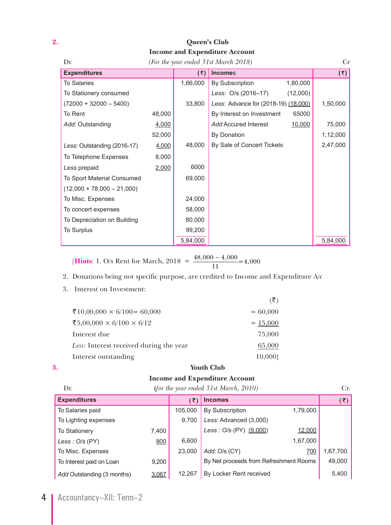# **2. Queen's Club Income and Expenditure Account**

| Dr.                          |        | (For the year ended 31st March 2018) | Cr                                   |          |                     |
|------------------------------|--------|--------------------------------------|--------------------------------------|----------|---------------------|
| <b>Expenditures</b>          |        | (5)                                  | <b>Incomes</b>                       |          | $(\overline{\tau})$ |
| <b>To Salaries</b>           |        | 1,66,000                             | <b>By Subscription</b>               | 1,80,000 |                     |
| To Stationery consumed       |        |                                      | Less: O/s (2016-17)                  | (12,000) |                     |
| $(72000 + 32000 - 5400)$     |        | 33,800                               | Less: Advance for (2018-19) (18,000) |          | 1,50,000            |
| To Rent                      | 48,000 |                                      | By Interest on Investment            | 65000    |                     |
| Add: Outstanding             | 4,000  |                                      | <b>Add Accured Interest</b>          | 10,000   | 75,000              |
|                              | 52,000 |                                      | By Donation                          |          | 1,12,000            |
| Less: Outstanding (2016-17)  | 4,000  | 48,000                               | By Sale of Concert Tickets           |          | 2,47,000            |
| To Telephone Expenses        | 8,000  |                                      |                                      |          |                     |
| Less prepaid                 | 2,000  | 6000                                 |                                      |          |                     |
| To Sport Material Consumed   |        | 69,000                               |                                      |          |                     |
| $(12,000 + 78,000 - 21,000)$ |        |                                      |                                      |          |                     |
| To Misc. Expenses            |        | 24,000                               |                                      |          |                     |
| To concert expenses          |        | 58,000                               |                                      |          |                     |
| To Depreciation on Building  |        | 80,000                               |                                      |          |                     |
| To Surplus                   |        | 99,200                               |                                      |          |                     |
|                              |        | 5,84,000                             |                                      |          | 5,84,000            |

[**Hints**: 1. O/s Rent for March,  $2018 = \frac{48,000 - 4,000}{11} = 4,000$ 

### 2. Donations being not specific purpose, are credited to Income and Expenditure A/c

3. Interest on Investment:

| ₹10,00,000 × 6/100 = 60,000             | $= 60,000$ |
|-----------------------------------------|------------|
| ₹5,00,000 × 6/100 × 6/12                | $= 15,000$ |
| Interest due                            | 75,000     |
| Less: Interest received during the year | 65,000     |
| Interest outstanding                    | 10,0001    |

#### **3. Youth Club**

# **Income and Expenditure Account**

| Dr.                        | (for the year ended $31st March, 2010$ ) |         |                                        |            |          |
|----------------------------|------------------------------------------|---------|----------------------------------------|------------|----------|
| <b>Expenditures</b>        |                                          | ั₹)     | <b>Incomes</b>                         |            | (₹)      |
| To Salaries paid           |                                          | 105,000 | By Subscription                        | 1,79,000   |          |
| To Lighting expenses       |                                          | 9,700   | Less: Advanced (3,000)                 |            |          |
| <b>To Stationery</b>       | 7,400                                    |         | Less : O/s (PY) (9,000)                | 12,000     |          |
| Less : $O/s$ (PY)          | 800                                      | 6,600   |                                        | 1,67,000   |          |
| To Misc. Expenses          |                                          | 23,000  | Add: O/s (CY)                          | <u>700</u> | 1,67,700 |
| To Interest paid on Loan   | 9,200                                    |         | By Net proceeds from Refreshment Rooms |            | 49,000   |
| Add Outstanding (3 months) | 3,067                                    | 12,267  | By Locker Rent received                | 5,400      |          |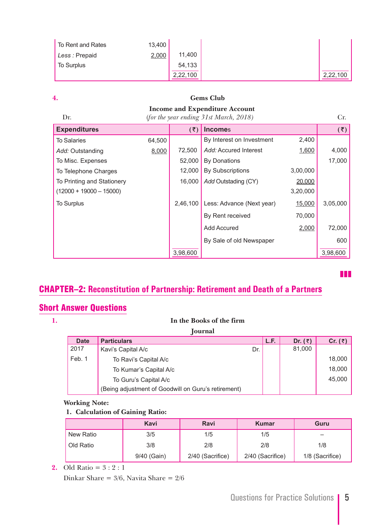| To Rent and Rates | 13,400 |          |
|-------------------|--------|----------|
| Less : Prepaid    | 2,000  | 11,400   |
| To Surplus        |        | 54,133   |
|                   |        | 2,22,100 |

| 4.                         |                                                                                 | <b>Gems Club</b>     |                           |               |                    |  |
|----------------------------|---------------------------------------------------------------------------------|----------------------|---------------------------|---------------|--------------------|--|
| Dr.                        | <b>Income and Expenditure Account</b><br>(for the year ending 31st March, 2018) |                      |                           | Cr.           |                    |  |
| <b>Expenditures</b>        |                                                                                 | $(\bar{\mathbf{z}})$ | <b>Incomes</b>            |               | $(\overline{\xi})$ |  |
| <b>To Salaries</b>         | 64,500                                                                          |                      | By Interest on Investment | 2,400         |                    |  |
| Add: Outstanding           | 8,000                                                                           | 72,500               | Add: Accured Interest     | 1,600         | 4,000              |  |
| To Misc. Expenses          |                                                                                 | 52,000               | <b>By Donations</b>       |               | 17,000             |  |
| To Telephone Charges       |                                                                                 | 12,000               | <b>By Subscriptions</b>   | 3,00,000      |                    |  |
| To Printing and Stationery |                                                                                 | 16,000               | Add Outstading (CY)       | 20,000        |                    |  |
| $(12000 + 19000 - 15000)$  |                                                                                 |                      |                           | 3,20,000      |                    |  |
| To Surplus                 |                                                                                 | 2,46,100             | Less: Advance (Next year) | <u>15,000</u> | 3,05,000           |  |
|                            |                                                                                 |                      | By Rent received          | 70,000        |                    |  |
|                            |                                                                                 |                      | <b>Add Accured</b>        | 2,000         | 72,000             |  |
|                            |                                                                                 |                      | By Sale of old Newspaper  |               | 600                |  |
|                            |                                                                                 | 3,98,600             |                           |               | 3,98,600           |  |

CHAPTER–2: **Reconstitution of Partnership: Retirement and Death of a Partner**s

# Short Answer Questions

| <b>Journal</b> |                                                     |     |      |                 |                 |  |
|----------------|-----------------------------------------------------|-----|------|-----------------|-----------------|--|
| <b>Date</b>    | <b>Particulars</b>                                  |     | L.F. | Dr. $(\bar{z})$ | Cr. $(\bar{z})$ |  |
| 2017           | Kavi's Capital A/c                                  | Dr. |      | 81,000          |                 |  |
| Feb. 1         | To Ravi's Capital A/c                               |     |      |                 | 18,000          |  |
|                | To Kumar's Capital A/c                              |     |      |                 | 18,000          |  |
|                | To Guru's Capital A/c                               |     |      |                 | 45.000          |  |
|                | (Being adjustment of Goodwill on Guru's retirement) |     |      |                 |                 |  |

**1. In the Books of the firm**

#### **Working Note:**

#### **1. Calculation of Gaining Ratio:**

|           | Kavi        | Ravi             | <b>Kumar</b>     | Guru            |
|-----------|-------------|------------------|------------------|-----------------|
| New Ratio | 3/5         | 1/5              | 1/5              |                 |
| Old Ratio | 3/8         | 2/8              | 2/8              | 1/8             |
|           | 9/40 (Gain) | 2/40 (Sacrifice) | 2/40 (Sacrifice) | 1/8 (Sacrifice) |

**2.** Old Ratio = 3 : 2 : 1

Dinkar Share = 3/6, Navita Share = 2/6

**zzz**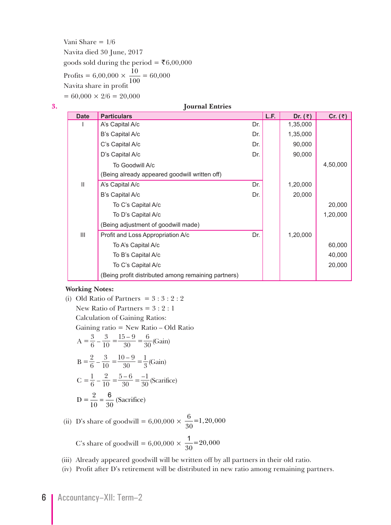Vani Share  $= 1/6$  Navita died 30 June, 2017 goods sold during the period = ₹6,00,000 Profits =  $6,00,000 \times \frac{10}{100} = 60,000$ <br>Navita share in profit  $= 60,000 \times 2/6 = 20,000$ 

| 3. | <b>Journal Entries</b> |                                                     |     |      |           |           |
|----|------------------------|-----------------------------------------------------|-----|------|-----------|-----------|
|    | <b>Date</b>            | <b>Particulars</b>                                  |     | L.F. | Dr. $(3)$ | Cr. $(3)$ |
|    |                        | A's Capital A/c                                     | Dr. |      | 1,35,000  |           |
|    |                        | B's Capital A/c                                     | Dr. |      | 1,35,000  |           |
|    |                        | C's Capital A/c                                     | Dr. |      | 90,000    |           |
|    |                        | D's Capital A/c                                     | Dr. |      | 90,000    |           |
|    |                        | To Goodwill A/c                                     |     |      |           | 4,50,000  |
|    |                        | (Being already appeared goodwill written off)       |     |      |           |           |
|    | $\mathbf{I}$           | A's Capital A/c                                     | Dr. |      | 1,20,000  |           |
|    |                        | B's Capital A/c                                     | Dr. |      | 20,000    |           |
|    |                        | To C's Capital A/c                                  |     |      |           | 20,000    |
|    |                        | To D's Capital A/c                                  |     |      |           | 1,20,000  |
|    |                        | (Being adjustment of goodwill made)                 |     |      |           |           |
|    | $\mathbf{III}$         | Profit and Loss Appropriation A/c                   | Dr. |      | 1,20,000  |           |
|    |                        | To A's Capital A/c                                  |     |      |           | 60,000    |
|    |                        | To B's Capital A/c                                  |     |      |           | 40,000    |
|    |                        | To C's Capital A/c                                  |     |      |           | 20,000    |
|    |                        | (Being profit distributed among remaining partners) |     |      |           |           |

#### **Working Notes:**

(i) Old Ratio of Partners = 3 : 3 : 2 : 2  
\nNew Ratio of Partners = 3 : 2 : 1  
\nCalculation of Gaining Ratios:  
\nGaining ratio = New Ratio – Old Ratio  
\n
$$
A = \frac{3}{6} - \frac{3}{10} = \frac{15 - 9}{30} = \frac{6}{30} \text{(Gain)}\nB = \frac{2}{6} - \frac{3}{10} = \frac{10 - 9}{30} = \frac{1}{3} \text{(Gain)}\nC = \frac{1}{6} - \frac{2}{10} = \frac{5 - 6}{30} = \frac{-1}{30} \text{(Scarifice)}
$$
\n
$$
D = \frac{2}{10} = \frac{6}{30} \text{(Sacrifice)}
$$

(ii) D's share of goodwill = 6,00,000  $\times \frac{6}{20}$  $\frac{6}{30}$ =1,20,000

C's share of goodwill =  $6,00,000 \times \frac{1}{30} = 20,000$ 

(iii) Already appeared goodwill will be written off by all partners in their old ratio.

(iv) Profit after D's retirement will be distributed in new ratio among remaining partners.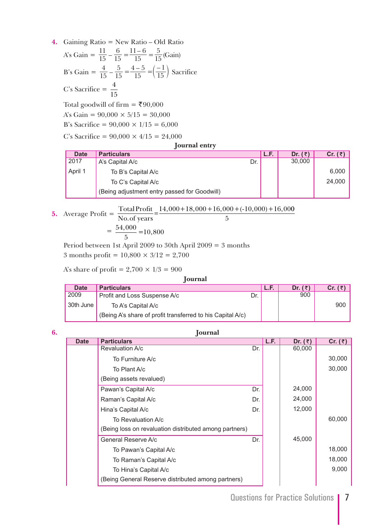**4.** Gaining Ratio = New Ratio – Old Ratio A's Gain =  $\frac{11}{15} - \frac{6}{15}$ 15  $11-6$  $=\frac{11-6}{15}=\frac{5}{15}$ (Gain) B's Gain =  $\frac{4}{15} - \frac{5}{15}$ 15  $4 - 5$  $=\frac{4-5}{15}=\left(\frac{-1}{15}\right)$  Sacrifice C's Sacrifice =  $\frac{4}{15}$ 

Total goodwill of firm = ₹90,000

A's Gain =  $90,000 \times 5/15 = 30,000$ 

B's Sacrifice =  $90,000 \times 1/15 = 6,000$ 

C's Sacrifice =  $90,000 \times 4/15 = 24,000$ 

#### **Journal entry**

| <b>Date</b> | <b>Particulars</b>                           | L.F. | Dr. $(\bar{z})$ | Cr. (   |
|-------------|----------------------------------------------|------|-----------------|---------|
| 2017        | A's Capital A/c<br>Dr.                       |      | 30,000          |         |
| April 1     | To B's Capital A/c                           |      |                 | $6,000$ |
|             | To C's Capital A/c                           |      |                 | 24,000  |
|             | (Being adjustment entry passed for Goodwill) |      |                 |         |

#### **5.** Average Profit  $=$   $\frac{\text{Total Profit}}{\text{N}}$  $\frac{\text{Total Profit}}{\text{No. of years}} = \frac{14,000 + 18,000 + 16,000 + (-10,000) + 16,000}{5}$

$$
\overline{5}
$$

$$
=\frac{54,000}{5} = 10,800
$$

Period between 1st April 2009 to 30th April 2009 = 3 months

3 months profit =  $10,800 \times 3/12 = 2,700$ 

A's share of profit =  $2,700 \times 1/3 = 900$ 

| <b>Journal</b> |                                                            |     |      |                 |                 |
|----------------|------------------------------------------------------------|-----|------|-----------------|-----------------|
| <b>Date</b>    | <b>Particulars</b>                                         |     | L.F. | Dr. $(\bar{z})$ | Cr. $(\bar{z})$ |
| 2009           | Profit and Loss Suspense A/c                               | Dr. |      | 900             |                 |
| 30th June      | To A's Capital A/c                                         |     |      |                 | 900             |
|                | (Being A's share of profit transferred to his Capital A/c) |     |      |                 |                 |

| 6. |             | <b>Journal</b>                                         |     |      |           |           |  |
|----|-------------|--------------------------------------------------------|-----|------|-----------|-----------|--|
|    | <b>Date</b> | <b>Particulars</b>                                     |     | L.F. | Dr. $(3)$ | Cr. $(3)$ |  |
|    |             | Revaluation A/c                                        | Dr. |      | 60,000    |           |  |
|    |             | To Furniture A/c                                       |     |      |           | 30,000    |  |
|    |             | To Plant A/c                                           |     |      |           | 30,000    |  |
|    |             | (Being assets revalued)                                |     |      |           |           |  |
|    |             | Pawan's Capital A/c                                    | Dr. |      | 24,000    |           |  |
|    |             | Raman's Capital A/c                                    | Dr. |      | 24,000    |           |  |
|    |             | Hina's Capital A/c                                     | Dr. |      | 12,000    |           |  |
|    |             | To Revaluation A/c                                     |     |      |           | 60,000    |  |
|    |             | (Being loss on revaluation distributed among partners) |     |      |           |           |  |
|    |             | General Reserve A/c                                    | Dr. |      | 45,000    |           |  |
|    |             | To Pawan's Capital A/c                                 |     |      |           | 18,000    |  |
|    |             | To Raman's Capital A/c                                 |     |      |           | 18,000    |  |
|    |             | To Hina's Capital A/c                                  |     |      |           | 9,000     |  |
|    |             | (Being General Reserve distributed among partners)     |     |      |           |           |  |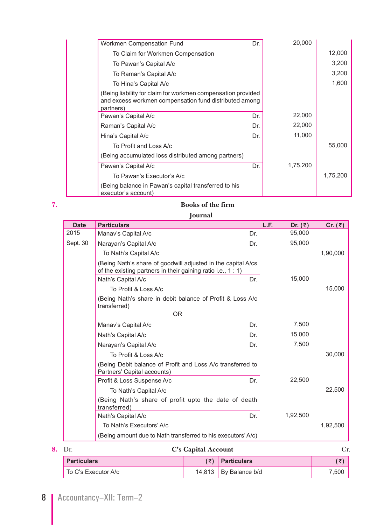|                                                                                                                                     | Dr. | 20,000   |          |
|-------------------------------------------------------------------------------------------------------------------------------------|-----|----------|----------|
| Workmen Compensation Fund                                                                                                           |     |          |          |
| To Claim for Workmen Compensation                                                                                                   |     |          | 12,000   |
| To Pawan's Capital A/c                                                                                                              |     |          | 3,200    |
| To Raman's Capital A/c                                                                                                              |     |          | 3,200    |
| To Hina's Capital A/c                                                                                                               |     |          | 1,600    |
| (Being liability for claim for workmen compensation provided<br>and excess workmen compensation fund distributed among<br>partners) |     |          |          |
| Pawan's Capital A/c                                                                                                                 | Dr. | 22,000   |          |
| Raman's Capital A/c                                                                                                                 | Dr. | 22,000   |          |
| Hina's Capital A/c                                                                                                                  | Dr. | 11,000   |          |
| To Profit and Loss A/c                                                                                                              |     |          | 55,000   |
| (Being accumulated loss distributed among partners)                                                                                 |     |          |          |
| Pawan's Capital A/c                                                                                                                 | Dr. | 1,75,200 |          |
| To Pawan's Executor's A/c                                                                                                           |     |          | 1,75,200 |
| (Being balance in Pawan's capital transferred to his<br>executor's account)                                                         |     |          |          |

# **7. Books of the firm**

 **Journal**

| <b>Date</b> | <b>Particulars</b>                                                                                                         | L.F. | Dr. $(3)$ | Cr. $(3)$ |
|-------------|----------------------------------------------------------------------------------------------------------------------------|------|-----------|-----------|
| 2015        | Manav's Capital A/c                                                                                                        | Dr.  | 95,000    |           |
| Sept. 30    | Narayan's Capital A/c                                                                                                      | Dr.  | 95,000    |           |
|             | To Nath's Capital A/c                                                                                                      |      |           | 1,90,000  |
|             | (Being Nath's share of goodwill adjusted in the capital A/cs<br>of the existing partners in their gaining ratio i.e., 1:1) |      |           |           |
|             | Nath's Capital A/c                                                                                                         | Dr.  | 15,000    |           |
|             | To Profit & Loss A/c                                                                                                       |      |           | 15,000    |
|             | (Being Nath's share in debit balance of Profit & Loss A/c<br>transferred)                                                  |      |           |           |
|             | <b>OR</b>                                                                                                                  |      |           |           |
|             | Manav's Capital A/c                                                                                                        | Dr.  | 7,500     |           |
|             | Nath's Capital A/c                                                                                                         | Dr.  | 15,000    |           |
|             | Narayan's Capital A/c                                                                                                      | Dr.  | 7,500     |           |
|             | To Profit & Loss A/c                                                                                                       |      |           | 30,000    |
|             | (Being Debit balance of Profit and Loss A/c transferred to<br>Partners' Capital accounts)                                  |      |           |           |
|             | Profit & Loss Suspense A/c                                                                                                 | Dr.  | 22,500    |           |
|             | To Nath's Capital A/c                                                                                                      |      |           | 22,500    |
|             | (Being Nath's share of profit upto the date of death<br>transferred)                                                       |      |           |           |
|             | Nath's Capital A/c                                                                                                         | Dr.  | 1,92,500  |           |
|             | To Nath's Executors' A/c                                                                                                   |      |           | 1,92,500  |
|             | (Being amount due to Nath transferred to his executors' A/c)                                                               |      |           |           |

| <b>8.</b> Dr.       | <b>C's Capital Account</b> |                           |       |
|---------------------|----------------------------|---------------------------|-------|
| <b>Particulars</b>  |                            | $(\bar{z})$ Particulars   |       |
| To C's Executor A/c |                            | 14,813   By Balance $b/d$ | 7.500 |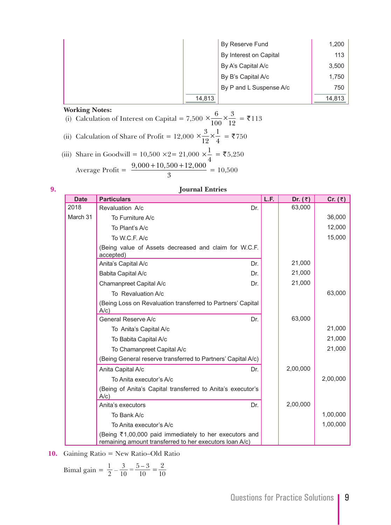|        | By Reserve Fund         | 1,200  |
|--------|-------------------------|--------|
|        | By Interest on Capital  | 113    |
|        | By A's Capital A/c      | 3,500  |
|        | By B's Capital A/c      | 1,750  |
|        | By P and L Suspense A/c | 750    |
| 14,813 |                         | 14,813 |

(i) Calculation of Interest on Capital =  $7,500 \times \frac{6}{10}$  $\frac{6}{100} \times \frac{3}{12} = 113$ (ii) Calculation of Share of Profit = 12,000  $\times \frac{3}{16}$  $\frac{3}{12} \times \frac{1}{4} = 750$ (iii) Share in Goodwill = 10,500  $\times$  2= 21,000  $\times \frac{1}{4}$  = ₹5,250 Average Profit =  $\frac{9,000+10,500+12,000}{3}$  = 10,500

| I |  |
|---|--|
|   |  |
| I |  |
|   |  |

#### **9. Journal Entries**

| <b>Date</b> | <b>Particulars</b>                                                                                                | L.F. | Dr. $(3)$ | Cr. $(3)$ |
|-------------|-------------------------------------------------------------------------------------------------------------------|------|-----------|-----------|
| 2018        | Revaluation A/c<br>Dr.                                                                                            |      | 63,000    |           |
| March 31    | To Furniture A/c                                                                                                  |      |           | 36,000    |
|             | To Plant's A/c                                                                                                    |      |           | 12,000    |
|             | To W.C.F. A/c                                                                                                     |      |           | 15,000    |
|             | (Being value of Assets decreased and claim for W.C.F.<br>accepted)                                                |      |           |           |
|             | Anita's Capital A/c<br>Dr.                                                                                        |      | 21,000    |           |
|             | Babita Capital A/c<br>Dr.                                                                                         |      | 21,000    |           |
|             | Chamanpreet Capital A/c<br>Dr.                                                                                    |      | 21,000    |           |
|             | To Revaluation A/c                                                                                                |      |           | 63,000    |
|             | (Being Loss on Revaluation transferred to Partners' Capital<br>$A/c$ )                                            |      |           |           |
|             | General Reserve A/c<br>Dr.                                                                                        |      | 63,000    |           |
|             | To Anita's Capital A/c                                                                                            |      |           | 21,000    |
|             | To Babita Capital A/c                                                                                             |      |           | 21,000    |
|             | To Chamanpreet Capital A/c                                                                                        |      |           | 21,000    |
|             | (Being General reserve transferred to Partners' Capital A/c)                                                      |      |           |           |
|             | Anita Capital A/c<br>Dr.                                                                                          |      | 2,00,000  |           |
|             | To Anita executor's A/c                                                                                           |      |           | 2,00,000  |
|             | (Being of Anita's Capital transferred to Anita's executor's<br>$A/c$ )                                            |      |           |           |
|             | Anita's executors<br>Dr.                                                                                          |      | 2,00,000  |           |
|             | To Bank A/c                                                                                                       |      |           | 1,00,000  |
|             | To Anita executor's A/c                                                                                           |      |           | 1,00,000  |
|             | (Being ₹1,00,000 paid immediately to her executors and<br>remaining amount transferred to her executors loan A/c) |      |           |           |

**10.** Gaining Ratio = New Ratio–Old Ratio

Bimal gain =  $\frac{1}{2} - \frac{3}{10} = \frac{5-3}{10}$ 10 2 2 1  $-\frac{3}{10} = \frac{5-3}{10} =$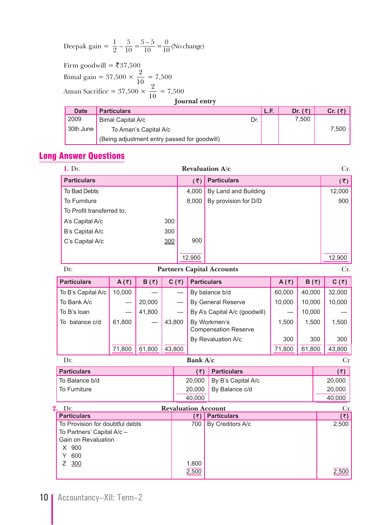Deepak gain =  $\frac{1}{2} - \frac{5}{10}$ 10  $5 - 5$  $=\frac{5-5}{10}=\frac{0}{10}$  (No change)

Firm goodwill = ₹37,500 Bimal gain = 37,500  $\times \frac{2}{10}$  = 7,500 Aman Sacrifice =  $37,500 \times \frac{2}{10} = 7,500$ <br>**Journal entry** 

| <b>Date</b> | <b>Particulars</b>                           |     | L.F. | Dr. $(\bar{z})$ | Cr. $(\bar{z})$ |
|-------------|----------------------------------------------|-----|------|-----------------|-----------------|
| 2009        | Bimal Capital A/c                            | Dr. |      | 7.500           |                 |
| 30th June   | To Aman's Capital A/c                        |     |      |                 | 7.500           |
|             | (Being adjustment entry passed for goodwill) |     |      |                 |                 |

# Long Answer Questions

| 1. Dr.                          |         |              |        |              |                             | Revaluation A/c                                  |                |              | Cr.                         |
|---------------------------------|---------|--------------|--------|--------------|-----------------------------|--------------------------------------------------|----------------|--------------|-----------------------------|
| <b>Particulars</b>              |         |              |        |              | $(\overline{\overline{z}})$ | <b>Particulars</b>                               |                |              | $(\overline{\overline{z}})$ |
| To Bad Debts                    |         |              |        |              | 4,000                       | By Land and Building                             |                |              | 12,000                      |
| To Furniture                    |         |              |        |              | 8,000                       | By provision for D/D                             |                |              | 900                         |
| To Profit transferred to:       |         |              |        |              |                             |                                                  |                |              |                             |
| A's Capital A/c                 |         |              | 300    |              |                             |                                                  |                |              |                             |
| B's Capital A/c                 |         |              | 300    |              |                             |                                                  |                |              |                             |
| C's Capital A/c                 |         |              | 300    |              | 900                         |                                                  |                |              |                             |
|                                 |         |              |        |              |                             |                                                  |                |              |                             |
|                                 |         |              |        |              | 12,900                      |                                                  |                |              | 12,900                      |
| Dr.                             |         |              |        |              |                             | <b>Partners Capital Accounts</b>                 |                |              | Cr.                         |
| <b>Particulars</b>              | A $(3)$ | $B(\bar{z})$ |        | $C(\bar{z})$ |                             | <b>Particulars</b>                               | A( $\bar{z}$ ) | $B(\bar{z})$ | $C(\bar{z})$                |
| To B's Capital A/c              | 10,000  |              |        |              |                             | By balance b/d                                   | 60,000         | 40,000       | 32,000                      |
| To Bank A/c                     |         | 20,000       |        |              |                             | By General Reserve                               | 10,000         | 10,000       | 10,000                      |
| To B's loan                     |         | 41,800       |        |              |                             | By A's Capital A/c (goodwill)                    |                | 10,000       |                             |
| To balance c/d                  | 61,800  |              | 43,800 |              |                             | By Workmen's                                     | 1,500          | 1,500        | 1,500                       |
|                                 |         |              |        |              |                             | <b>Compensation Reserve</b>                      |                |              |                             |
|                                 |         |              |        |              |                             | By Revaluation A/c                               | 300            | 300          | 300                         |
|                                 | 71,800  | 61,800       | 43,800 |              |                             |                                                  | 71,800         | 61,800       | 43,800                      |
| Dr.                             |         |              |        |              | Bank A/c                    |                                                  |                |              | Cr                          |
| <b>Particulars</b>              |         |              |        |              | (5)                         | <b>Particulars</b>                               |                |              | (5)                         |
| To Balance b/d                  |         |              |        |              | 20,000                      | By B's Capital A/c                               |                |              | 20,000                      |
| To Furniture                    |         |              |        |              | 20,000                      | By Balance c/d                                   |                |              | 20,000                      |
|                                 |         |              |        |              | 40,000                      |                                                  |                |              | 40,000                      |
| 2. Dr.<br><b>Particulars</b>    |         |              |        |              | $(\overline{\tau})$         | <b>Revaluation Account</b><br><b>Particulars</b> |                |              | Cr.<br>(5)                  |
| To Provision for doubtful debts |         |              |        |              | 700                         | By Creditors A/c                                 |                |              | 2,500                       |
| To Partners' Capital A/c -      |         |              |        |              |                             |                                                  |                |              |                             |
| Gain on Revaluation             |         |              |        |              |                             |                                                  |                |              |                             |
| X 900<br>600<br>Y               |         |              |        |              |                             |                                                  |                |              |                             |
| Z<br>300                        |         |              |        |              | 1,800                       |                                                  |                |              |                             |
|                                 |         |              |        |              | 2,500                       |                                                  |                |              | 2,500                       |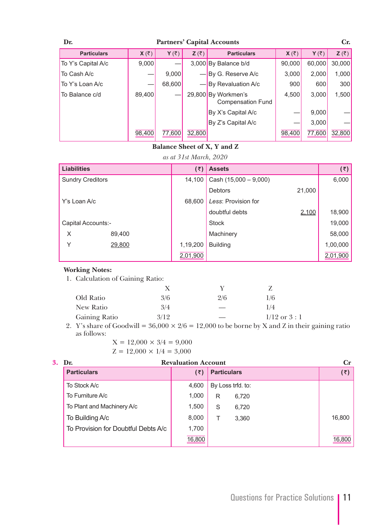| <b>Partners' Capital Accounts</b><br>Dr. |                      |                      |                       |                                                 |                       |                      |                       |
|------------------------------------------|----------------------|----------------------|-----------------------|-------------------------------------------------|-----------------------|----------------------|-----------------------|
| <b>Particulars</b>                       | $X(\overline{\tau})$ | $Y(\overline{\tau})$ | $Z(\overline{\zeta})$ | <b>Particulars</b>                              | $X(\overline{\zeta})$ | $Y(\overline{\tau})$ | $Z(\overline{\zeta})$ |
| To Y's Capital A/c                       | 9,000                |                      |                       | 3,000 By Balance b/d                            | 90,000                | 60,000               | 30,000                |
| To Cash A/c                              |                      | 9.000                |                       | $-\vert$ By G. Reserve A/c                      | 3,000                 | 2.000                | 1,000                 |
| To Y's Loan A/c                          |                      | 68,600               |                       | By Revaluation A/c                              | 900                   | 600                  | 300                   |
| To Balance c/d                           | 89,400               |                      |                       | 29,800 By Workmen's<br><b>Compensation Fund</b> | 4,500                 | 3.000                | 1,500                 |
|                                          |                      |                      |                       | By X's Capital A/c                              |                       | 9.000                |                       |
|                                          |                      |                      |                       | By Z's Capital A/c                              |                       | 3.000                |                       |
|                                          | 98,400               | 77,600               | 32,800                |                                                 | 98,400                | 77,600               | 32,800                |

### **Balance Sheet of X, Y and Z**

#### *as at 31st March, 2020*

| <b>Liabilities</b>      |        | (₹)      | <b>Assets</b>           |        | (₹)      |
|-------------------------|--------|----------|-------------------------|--------|----------|
| <b>Sundry Creditors</b> |        | 14,100   | Cash $(15,000 - 9,000)$ |        | 6,000    |
|                         |        |          | <b>Debtors</b>          | 21,000 |          |
| Y's Loan A/c            |        | 68,600   | Less: Provision for     |        |          |
|                         |        |          | doubtful debts          | 2,100  | 18,900   |
| Capital Accounts:-      |        |          | <b>Stock</b>            |        | 19,000   |
| X                       | 89,400 |          | Machinery               |        | 58,000   |
| Υ                       | 29,800 | 1,19,200 | <b>Building</b>         |        | 1,00,000 |
|                         |        | 2,01,900 |                         |        | 2,01,900 |

#### **Working Notes:**

1. Calculation of Gaining Ratio:

|               | X    |     |                 |   |
|---------------|------|-----|-----------------|---|
| Old Ratio     | 3/6  | 2/6 | 1/6             |   |
| New Ratio     | 3/4  |     | 1/4             |   |
| Gaining Ratio | 3/12 |     | $1/12$ or $3:1$ |   |
| _____         | .    | .   |                 | . |

2. Y's share of Goodwill =  $36,000 \times 2/6 = 12,000$  to be borne by X and Z in their gaining ratio as follows:

- $X = 12,000 \times 3/4 = 9,000$
- $Z = 12,000 \times 1/4 = 3,000$

| 3. | Dr.                                 | <b>Revaluation Account</b> |   |                    | $C_{r}$ |
|----|-------------------------------------|----------------------------|---|--------------------|---------|
|    | <b>Particulars</b>                  | (₹)                        |   | <b>Particulars</b> | (₹)     |
|    | To Stock A/c                        | 4,600                      |   | By Loss trfd. to:  |         |
|    | To Furniture A/c                    | 1,000                      | R | 6,720              |         |
|    | To Plant and Machinery A/c          | 1,500                      | S | 6,720              |         |
|    | To Building A/c                     | 8,000                      |   | 3,360              | 16,800  |
|    | To Provision for Doubtful Debts A/c | 1,700                      |   |                    |         |
|    |                                     | 16,800                     |   |                    | 16,800  |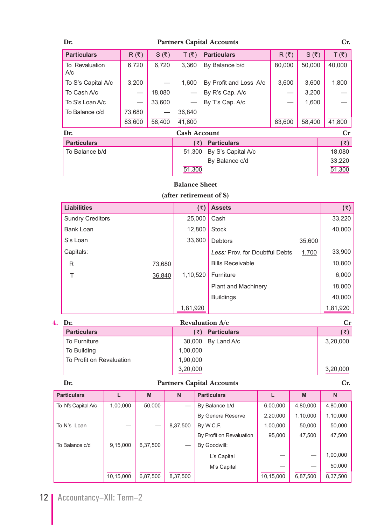### **Dr. Partners Capital Accounts Cr.**

| <b>Particulars</b>          | $R(\bar{\zeta})$ | $S(\bar{\zeta})$ | $T(\overline{\zeta})$ | <b>Particulars</b>     | $R(\bar{z})$ | $S(\bar{\zeta})$ | $T(\overline{\zeta})$ |
|-----------------------------|------------------|------------------|-----------------------|------------------------|--------------|------------------|-----------------------|
| To Revaluation<br>A/c       | 6,720            | 6,720            | 3,360                 | By Balance b/d         | 80,000       | 50,000           | 40,000                |
| 3,200<br>To S's Capital A/c |                  |                  | 1.600                 | By Profit and Loss A/c | 3,600        | 3,600            | 1,800                 |
| To Cash A/c                 |                  | 18,080           |                       | By R's Cap. A/c        |              | 3,200            |                       |
| To S's Loan A/c             |                  | 33,600           |                       | By T's Cap. A/c        |              | 1,600            |                       |
| To Balance c/d              | 73,680           |                  | 36,840                |                        |              |                  |                       |
|                             | 83,600           | 58,400           | 41,800                |                        | 83,600       | 58,400           | 41,800                |
| Dr.                         |                  |                  | <b>Cash Account</b>   |                        |              |                  | $\mathbf{C}$ r        |
| <b>Particulars</b>          |                  |                  | (₹)                   | <b>Particulars</b>     |              |                  | (5)                   |
| To Balance b/d              |                  |                  | 51,300                | By S's Capital A/c     |              |                  | 18,080                |
|                             |                  |                  |                       | By Balance c/d         |              |                  | 33,220                |
|                             |                  |                  | 51,300                |                        |              |                  | 51,300                |

#### **Balance Sheet**

# **(after retirement of S)**

| <b>Liabilities</b>      | (5)      | <b>Assets</b>                  |        | (5)      |
|-------------------------|----------|--------------------------------|--------|----------|
| <b>Sundry Creditors</b> | 25,000   | Cash                           |        | 33,220   |
| <b>Bank Loan</b>        | 12,800   | <b>Stock</b>                   |        | 40,000   |
| S's Loan                | 33,600   | <b>Debtors</b>                 | 35,600 |          |
| Capitals:               |          | Less: Prov. for Doubtful Debts | 1,700  | 33,900   |
| R<br>73,680             |          | <b>Bills Receivable</b>        |        | 10,800   |
| 36,840<br>Т             | 1,10,520 | Furniture                      |        | 6,000    |
|                         |          | <b>Plant and Machinery</b>     |        | 18,000   |
|                         |          | <b>Buildings</b>               |        | 40,000   |
|                         | 1,81,920 |                                |        | 1,81,920 |

| 4. | Dr.                      |          | <b>Revaluation <math>A/c</math></b> | Сr       |
|----|--------------------------|----------|-------------------------------------|----------|
|    | <b>Particulars</b>       | '₹)      | <b>Particulars</b>                  | (₹)      |
|    | To Furniture             |          | $30,000$ By Land A/c                | 3,20,000 |
|    | To Building              | 1,00,000 |                                     |          |
|    | To Profit on Revaluation | 1,90,000 |                                     |          |
|    |                          | 3,20,000 |                                     | 3,20,000 |

### **Dr. Partners Capital Accounts Cr.**

| <b>Particulars</b> |           | M        | N        | <b>Particulars</b>       |           | M        | N        |  |  |  |
|--------------------|-----------|----------|----------|--------------------------|-----------|----------|----------|--|--|--|
| To N's Capital A/c | 1,00,000  | 50,000   |          | By Balance b/d           | 6,00,000  | 4,80,000 | 4,80,000 |  |  |  |
|                    |           |          |          | By Genera Reserve        | 2,20,000  | 1,10,000 | 1,10,000 |  |  |  |
| To N's Loan        |           |          | 8,37,500 | By W.C.F.                | 1,00,000  | 50.000   | 50,000   |  |  |  |
|                    |           |          |          | By Profit on Revaluation | 95.000    | 47,500   | 47,500   |  |  |  |
| To Balance c/d     | 9,15,000  | 6,37,500 |          | By Goodwill:             |           |          |          |  |  |  |
|                    |           |          |          | L's Capital              |           |          | 1,00,000 |  |  |  |
|                    |           |          |          | M's Capital              |           |          | 50,000   |  |  |  |
|                    | 10,15,000 | 6,87,500 | 8,37,500 |                          | 10,15,000 | 6,87,500 | 8,37,500 |  |  |  |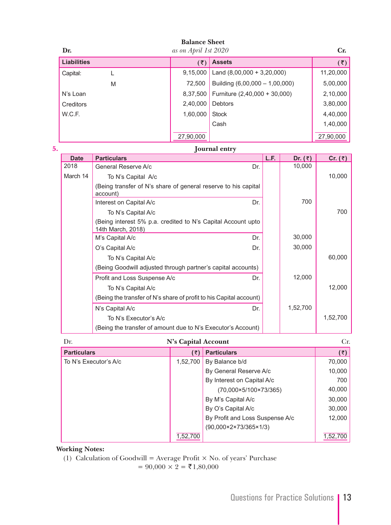| Dr.                |                                                                                   | <b>Balance Sheet</b><br>as on April 1st 2020 |                                |      |           | Cr.                       |
|--------------------|-----------------------------------------------------------------------------------|----------------------------------------------|--------------------------------|------|-----------|---------------------------|
| <b>Liabilities</b> |                                                                                   | (5)                                          | <b>Assets</b>                  |      |           | $(\overline{\mathbf{z}})$ |
| Capital:           | L                                                                                 | 9,15,000                                     | Land $(8,00,000 + 3,20,000)$   |      |           | 11,20,000                 |
|                    | M                                                                                 | 72,500                                       | Building (6,00,000 - 1,00,000) |      |           | 5,00,000                  |
| N's Loan           |                                                                                   | 8,37,500                                     | Furniture (2,40,000 + 30,000)  |      |           | 2,10,000                  |
| Creditors          |                                                                                   | 2,40,000                                     | Debtors                        |      |           | 3,80,000                  |
| W.C.F.             |                                                                                   | 1,60,000                                     | <b>Stock</b>                   |      |           | 4,40,000                  |
|                    |                                                                                   |                                              | Cash                           |      |           | 1,40,000                  |
|                    |                                                                                   | 27,90,000                                    |                                |      |           | 27,90,000                 |
|                    |                                                                                   |                                              | Journal entry                  |      |           |                           |
| <b>Date</b>        | <b>Particulars</b>                                                                |                                              |                                | L.F. | Dr. $(3)$ | Cr. $(3)$                 |
| 2018               | General Reserve A/c                                                               |                                              | Dr.                            |      | 10,000    |                           |
| March 14           | To N's Capital A/c                                                                |                                              |                                |      |           | 10,000                    |
|                    | (Being transfer of N's share of general reserve to his capital<br>account)        |                                              |                                |      |           |                           |
|                    | Interest on Capital A/c                                                           |                                              | Dr.                            |      | 700       |                           |
|                    | To N's Capital A/c                                                                |                                              |                                |      |           | 700                       |
|                    | (Being interest 5% p.a. credited to N's Capital Account upto<br>14th March, 2018) |                                              |                                |      |           |                           |
|                    | M's Capital A/c                                                                   |                                              | Dr.                            |      | 30,000    |                           |
|                    | O's Capital A/c                                                                   |                                              | Dr.                            |      | 30,000    |                           |
|                    | To N's Capital A/c                                                                |                                              |                                |      |           | 60,000                    |
|                    | (Being Goodwill adjusted through partner's capital accounts)                      |                                              |                                |      |           |                           |
|                    | Profit and Loss Suspense A/c                                                      |                                              | Dr.                            |      | 12,000    | 12,000                    |
|                    | To N's Capital A/c                                                                |                                              |                                |      |           |                           |
|                    | (Being the transfer of N's share of profit to his Capital account)                |                                              |                                |      |           |                           |
|                    | N's Capital A/c                                                                   |                                              | Dr.                            |      | 1,52,700  |                           |
|                    | To N's Executor's A/c                                                             |                                              |                                |      |           | 1,52,700                  |
|                    | (Being the transfer of amount due to N's Executor's Account)                      |                                              |                                |      |           |                           |
| Dr.                |                                                                                   | N's Capital Account                          |                                |      |           | Cr.                       |
| <b>Particulars</b> |                                                                                   | $(\overline{\zeta})$                         | <b>Particulars</b>             |      |           | (5)                       |
|                    | To N's Executor's A/c                                                             | 1,52,700                                     | By Balance b/d                 |      |           | 70,000                    |
|                    |                                                                                   |                                              | By General Reserve A/c         |      |           | 10,000                    |
|                    |                                                                                   |                                              | By Interest on Capital A/c     |      |           | 700                       |
|                    |                                                                                   |                                              | (70,000×5/100×73/365)          |      |           | 40,000                    |

|          | $(70,000 \times 5/100 \times 73/365)$        | 40,000   |
|----------|----------------------------------------------|----------|
|          | By M's Capital A/c                           | 30,000   |
|          | By O's Capital A/c                           | 30,000   |
|          | By Profit and Loss Suspense A/c              | 12,000   |
|          | $(90,000 \times 2 \times 73/365 \times 1/3)$ |          |
| 1,52,700 |                                              | 1,52,700 |

(1) Calculation of Goodwill = Average Profit  $\times$  No. of years' Purchase

 $= 90,000 \times 2 = ₹1,80,000$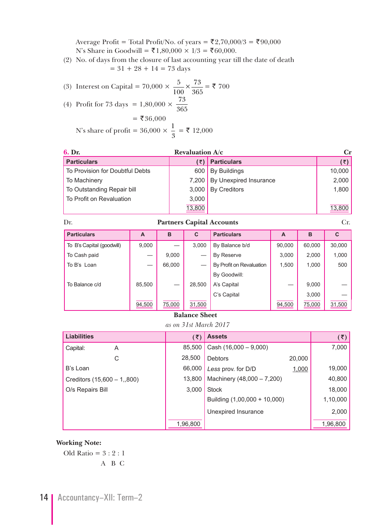Average Profit = Total Profit/No. of years =  $\bar{\xi}2,70,000/3 = \bar{\xi}90,000$ N's Share in Goodwill = ₹1,80,000 × 1/3 = ₹60,000.

 (2) No. of days from the closure of last accounting year till the date of death  $= 31 + 28 + 14 = 73$  days

(3) Interest on Capital = 70,000 × 
$$
\frac{5}{100} \times \frac{73}{365} = ₹700
$$
  
\n(4) Profit for 73 days = 1,80,000 ×  $\frac{73}{365}$   
\n= ₹36,000  
\nN's share of profit = 36,000 ×  $\frac{1}{3}$  = ₹ 12,000

| 6. Dr.                          | <b>Revaluation A/c</b> |                        | Сr     |
|---------------------------------|------------------------|------------------------|--------|
| <b>Particulars</b>              |                        | <b>Particulars</b>     | (₹)    |
| To Provision for Doubtful Debts | 600                    | <b>By Buildings</b>    | 10,000 |
| To Machinery                    | 7.200                  | By Unexpired Insurance | 2,000  |
| To Outstanding Repair bill      | 3.000                  | <b>By Creditors</b>    | 1,800  |
| To Profit on Revaluation        | 3.000                  |                        |        |
|                                 | 13,800                 |                        | 13,800 |

Dr. **Partners Capital Accounts** Cr.

| <b>Particulars</b>        | A      | в      | C      | <b>Particulars</b>       | A      | в      | С      |
|---------------------------|--------|--------|--------|--------------------------|--------|--------|--------|
| To B's Capital (goodwill) | 9,000  |        | 3,000  | By Balance b/d           | 90,000 | 60,000 | 30,000 |
| To Cash paid              |        | 9,000  |        | By Reserve               | 3,000  | 2,000  | 1,000  |
| To B's Loan               | --     | 66,000 |        | By Profit on Revaluation | 1,500  | 1,000  | 500    |
|                           |        |        |        | By Goodwill:             |        |        |        |
| To Balance c/d            | 85,500 |        | 28,500 | A's Capital              |        | 9,000  |        |
|                           |        |        |        | C's Capital              |        | 3,000  |        |
|                           | 94,500 | 75,000 | 31,500 |                          | 94,500 | 75,000 | 31,500 |

#### **Balance Sheet**

*as on 31st March 2017*

| <b>Liabilities</b>           | (₹)      | <b>Assets</b>                | (₹)             |
|------------------------------|----------|------------------------------|-----------------|
| Capital:<br>A                | 85,500   | Cash $(16,000 - 9,000)$      | 7,000           |
| С                            | 28,500   | <b>Debtors</b>               | 20,000          |
| B's Loan                     | 66,000   | Less prov. for D/D           | 19,000<br>1,000 |
| Creditors $(15,600 - 1,800)$ | 13,800   | Machinery (48,000 - 7,200)   | 40,800          |
| O/s Repairs Bill             | 3,000    | <b>Stock</b>                 | 18,000          |
|                              |          | Building (1,00,000 + 10,000) | 1,10,000        |
|                              |          | Unexpired Insurance          | 2,000           |
|                              | 1,96,800 |                              | 1,96,800        |

#### **Working Note:**

Old Ratio =  $3:2:1$ A B C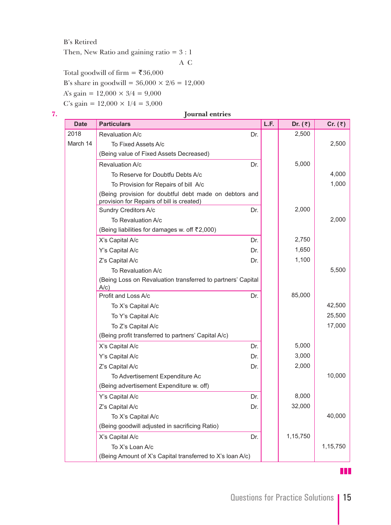#### B's Retired

Then, New Ratio and gaining ratio = 3 : 1

A C

Total goodwill of firm =  $\overline{\mathfrak{F}}36,000$ 

B's share in goodwill =  $36,000 \times 2/6 = 12,000$ 

A's gain =  $12,000 \times 3/4 = 9,000$ 

C's gain =  $12,000 \times 1/4 = 3,000$ 

#### **7. Journal entries**

| <b>Date</b> | <b>Particulars</b>                                                                                  | L.F. | Dr. $(3)$ | Cr. $(3)$ |
|-------------|-----------------------------------------------------------------------------------------------------|------|-----------|-----------|
| 2018        | Revaluation A/c<br>Dr.                                                                              |      | 2,500     |           |
| March 14    | To Fixed Assets A/c                                                                                 |      |           | 2,500     |
|             | (Being value of Fixed Assets Decreased)                                                             |      |           |           |
|             | Revaluation A/c<br>Dr.                                                                              |      | 5,000     |           |
|             | To Reserve for Doubtfu Debts A/c                                                                    |      |           | 4,000     |
|             | To Provision for Repairs of bill A/c                                                                |      |           | 1,000     |
|             | (Being provision for doubtful debt made on debtors and<br>provision for Repairs of bill is created) |      |           |           |
|             | Sundry Creditors A/c<br>Dr.                                                                         |      | 2,000     |           |
|             | To Revaluation A/c                                                                                  |      |           | 2,000     |
|             | (Being liabilities for damages w. off ₹2,000)                                                       |      |           |           |
|             | X's Capital A/c<br>Dr.                                                                              |      | 2,750     |           |
|             | Y's Capital A/c<br>Dr.                                                                              |      | 1,650     |           |
|             | Z's Capital A/c<br>Dr.                                                                              |      | 1,100     |           |
|             | To Revaluation A/c                                                                                  |      |           | 5,500     |
|             | (Being Loss on Revaluation transferred to partners' Capital<br>$A/c$ )                              |      |           |           |
|             | Profit and Loss A/c<br>Dr.                                                                          |      | 85,000    |           |
|             | To X's Capital A/c                                                                                  |      |           | 42,500    |
|             | To Y's Capital A/c                                                                                  |      |           | 25,500    |
|             | To Z's Capital A/c                                                                                  |      |           | 17,000    |
|             | (Being profit transferred to partners' Capital A/c)                                                 |      |           |           |
|             | X's Capital A/c<br>Dr.                                                                              |      | 5,000     |           |
|             | Y's Capital A/c<br>Dr.                                                                              |      | 3,000     |           |
|             | Z's Capital A/c<br>Dr.                                                                              |      | 2,000     |           |
|             | To Advertisement Expenditure Ac                                                                     |      |           | 10,000    |
|             | (Being advertisement Expenditure w. off)                                                            |      |           |           |
|             | Y's Capital A/c<br>Dr.                                                                              |      | 8,000     |           |
|             | Z's Capital A/c<br>Dr.                                                                              |      | 32,000    |           |
|             | To X's Capital A/c                                                                                  |      |           | 40,000    |
|             | (Being goodwill adjusted in sacrificing Ratio)                                                      |      |           |           |
|             | X's Capital A/c<br>Dr.                                                                              |      | 1,15,750  |           |
|             | To X's Loan A/c                                                                                     |      |           | 1,15,750  |
|             | (Being Amount of X's Capital transferred to X's loan A/c)                                           |      |           |           |

zzz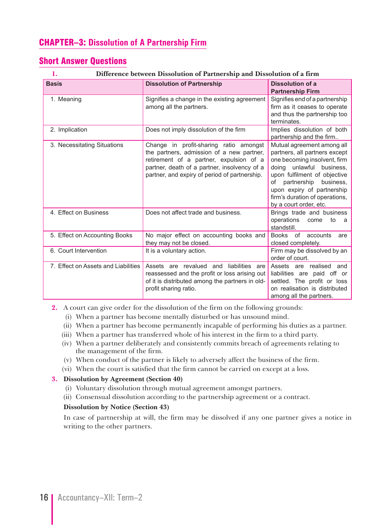# CHAPTER–3: **Dissolution of A Partnership Firm**

# Short Answer Questions

#### **1. Difference between Dissolution of Partnership and Dissolution of a firm**

| <b>Basis</b>                        | <b>Dissolution of Partnership</b>                                                                                                                                                                                               | <b>Dissolution of a</b><br><b>Partnership Firm</b>                                                                                                                                                                                                                                        |
|-------------------------------------|---------------------------------------------------------------------------------------------------------------------------------------------------------------------------------------------------------------------------------|-------------------------------------------------------------------------------------------------------------------------------------------------------------------------------------------------------------------------------------------------------------------------------------------|
| 1. Meaning                          | Signifies a change in the existing agreement<br>among all the partners.                                                                                                                                                         | Signifies end of a partnership<br>firm as it ceases to operate<br>and thus the partnership too<br>terminates.                                                                                                                                                                             |
| 2. Implication                      | Does not imply dissolution of the firm                                                                                                                                                                                          | Implies dissolution of both<br>partnership and the firm                                                                                                                                                                                                                                   |
| 3. Necessitating Situations         | Change in profit-sharing ratio amongst<br>the partners, admission of a new partner,<br>retirement of a partner, expulsion of a<br>partner, death of a partner, insolvency of a<br>partner, and expiry of period of partnership. | Mutual agreement among all<br>partners, all partners except<br>one becoming insolvent, firm<br>unlawful<br>business.<br>doing<br>upon fulfilment of objective<br>partnership<br>business.<br>of<br>upon expiry of partnership<br>firm's duration of operations,<br>by a court order, etc. |
| 4. Effect on Business               | Does not affect trade and business.                                                                                                                                                                                             | Brings trade and business<br>operations<br>to<br>come<br>- a<br>standstill.                                                                                                                                                                                                               |
| 5. Effect on Accounting Books       | No major effect on accounting books and<br>they may not be closed.                                                                                                                                                              | Books of accounts<br>are<br>closed completely.                                                                                                                                                                                                                                            |
| 6. Court Intervention               | It is a voluntary action.                                                                                                                                                                                                       | Firm may be dissolved by an<br>order of court.                                                                                                                                                                                                                                            |
| 7. Effect on Assets and Liabilities | liabilities<br>Assets are revalued and<br>are<br>reassessed and the profit or loss arising out<br>of it is distributed among the partners in old-<br>profit sharing ratio.                                                      | Assets are realised and<br>liabilities are paid off or<br>settled. The profit or loss<br>on realisation is distributed<br>among all the partners.                                                                                                                                         |

**2.** A court can give order for the dissolution of the firm on the following grounds:

- (i) When a partner has become mentally disturbed or has unsound mind.
- (ii) When a partner has become permanently incapable of performing his duties as a partner.
- (iii) When a partner has transferred whole of his interest in the firm to a third party.
- (iv) When a partner deliberately and consistently commits breach of agreements relating to the management of the firm.
- (v) When conduct of the partner is likely to adversely affect the business of the firm.
- (vi) When the court is satisfied that the firm cannot be carried on except at a loss.

#### **3. Dissolution by Agreement (Section 40)**

- (i) Voluntary dissolution through mutual agreement amongst partners.
- (ii) Consensual dissolution according to the partnership agreement or a contract.

#### **Dissolution by Notice (Section 43)**

 In case of partnership at will, the firm may be dissolved if any one partner gives a notice in writing to the other partners.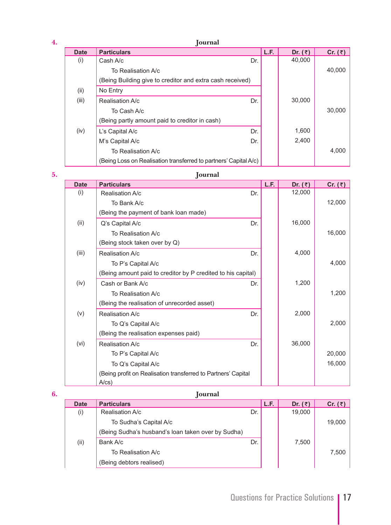| 4. | Journal     |                                                                  |     |      |           |           |  |  |
|----|-------------|------------------------------------------------------------------|-----|------|-----------|-----------|--|--|
|    | <b>Date</b> | <b>Particulars</b>                                               |     | L.F. | Dr. $(3)$ | Cr. $(3)$ |  |  |
|    | (i)         | Cash A/c                                                         | Dr. |      | 40,000    |           |  |  |
|    |             | To Realisation A/c                                               |     |      |           | 40,000    |  |  |
|    |             | (Being Building give to creditor and extra cash received)        |     |      |           |           |  |  |
|    | (ii)        | No Entry                                                         |     |      |           |           |  |  |
|    | (iii)       | Realisation A/c                                                  | Dr. |      | 30,000    |           |  |  |
|    |             | To Cash A/c                                                      |     |      |           | 30,000    |  |  |
|    |             | (Being partly amount paid to creditor in cash)                   |     |      |           |           |  |  |
|    | (iv)        | L's Capital A/c                                                  | Dr. |      | 1,600     |           |  |  |
|    |             | M's Capital A/c                                                  | Dr. |      | 2,400     |           |  |  |
|    |             | To Realisation A/c                                               |     |      |           | 4,000     |  |  |
|    |             | (Being Loss on Realisation transferred to partners' Capital A/c) |     |      |           |           |  |  |

| -<br>5. | <b>Iournal</b> |
|---------|----------------|
|---------|----------------|

| <b>Date</b> | <b>Particulars</b>                                            | L.F. | Dr. $(3)$ | Cr. $(3)$ |
|-------------|---------------------------------------------------------------|------|-----------|-----------|
| (i)         | Dr.<br>Realisation A/c                                        |      | 12,000    |           |
|             | To Bank A/c                                                   |      |           | 12,000    |
|             | (Being the payment of bank loan made)                         |      |           |           |
| (ii)        | Dr.<br>Q's Capital A/c                                        |      | 16,000    |           |
|             | To Realisation A/c                                            |      |           | 16,000    |
|             | (Being stock taken over by Q)                                 |      |           |           |
| (iii)       | Realisation A/c<br>Dr.                                        |      | 4,000     |           |
|             | To P's Capital A/c                                            |      |           | 4,000     |
|             | (Being amount paid to creditor by P credited to his capital)  |      |           |           |
| (iv)        | Cash or Bank A/c<br>Dr.                                       |      | 1,200     |           |
|             | To Realisation A/c                                            |      |           | 1,200     |
|             | (Being the realisation of unrecorded asset)                   |      |           |           |
| (v)         | Realisation A/c<br>Dr.                                        |      | 2,000     |           |
|             | To Q's Capital A/c                                            |      |           | 2,000     |
|             | (Being the realisation expenses paid)                         |      |           |           |
| (vi)        | Realisation A/c<br>Dr.                                        |      | 36,000    |           |
|             | To P's Capital A/c                                            |      |           | 20,000    |
|             | To Q's Capital A/c                                            |      |           | 16,000    |
|             | (Being profit on Realisation transferred to Partners' Capital |      |           |           |
|             | $A\prime$ cs)                                                 |      |           |           |

| 6. |             | Journal                                            |     |      |           |                 |
|----|-------------|----------------------------------------------------|-----|------|-----------|-----------------|
|    | <b>Date</b> | <b>Particulars</b>                                 |     | L.F. | Dr. $(3)$ | Cr. $(\bar{z})$ |
|    | (i)         | Realisation A/c                                    | Dr. |      | 19,000    |                 |
|    |             | To Sudha's Capital A/c                             |     |      |           | 19,000          |
|    |             | (Being Sudha's husband's loan taken over by Sudha) |     |      |           |                 |
|    | (ii)        | Bank A/c                                           | Dr. |      | 7,500     |                 |
|    |             | To Realisation A/c                                 |     |      |           | 7,500           |
|    |             | (Being debtors realised)                           |     |      |           |                 |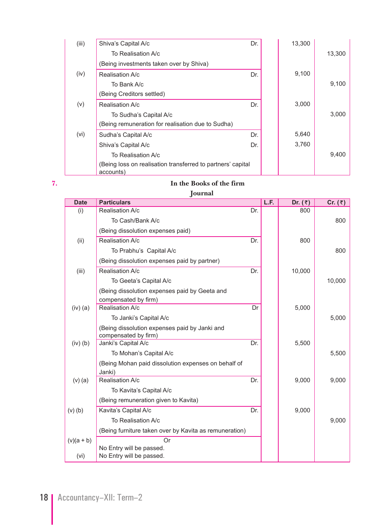| (iii) | Shiva's Capital A/c                                                      | Dr. | 13,300 |        |
|-------|--------------------------------------------------------------------------|-----|--------|--------|
|       | To Realisation A/c                                                       |     |        | 13,300 |
|       | (Being investments taken over by Shiva)                                  |     |        |        |
| (iv)  | Realisation A/c                                                          | Dr. | 9,100  |        |
|       | To Bank A/c                                                              |     |        | 9,100  |
|       | (Being Creditors settled)                                                |     |        |        |
| (v)   | Realisation A/c                                                          | Dr. | 3,000  |        |
|       | To Sudha's Capital A/c                                                   |     |        | 3,000  |
|       | (Being remuneration for realisation due to Sudha)                        |     |        |        |
| (vi)  | Sudha's Capital A/c                                                      | Dr. | 5,640  |        |
|       | Shiva's Capital A/c                                                      | Dr. | 3,760  |        |
|       | To Realisation A/c                                                       |     |        | 9.400  |
|       | (Being loss on realisation transferred to partners' capital<br>accounts) |     |        |        |

# **7. In the Books of the firm**

#### **Journal**

| <b>Date</b>  | <b>Particulars</b>                                                    |     | L.F. | Dr. $(3)$ | Cr. $(\bar{z})$ |
|--------------|-----------------------------------------------------------------------|-----|------|-----------|-----------------|
| (i)          | Realisation A/c                                                       | Dr. |      | 800       |                 |
|              | To Cash/Bank A/c                                                      |     |      |           | 800             |
|              | (Being dissolution expenses paid)                                     |     |      |           |                 |
| (ii)         | Realisation A/c                                                       | Dr. |      | 800       |                 |
|              | To Prabhu's Capital A/c                                               |     |      |           | 800             |
|              | (Being dissolution expenses paid by partner)                          |     |      |           |                 |
| (iii)        | Realisation A/c                                                       | Dr. |      | 10,000    |                 |
|              | To Geeta's Capital A/c                                                |     |      |           | 10,000          |
|              | (Being dissolution expenses paid by Geeta and                         |     |      |           |                 |
|              | compensated by firm)                                                  |     |      |           |                 |
| $(iv)$ (a)   | Realisation A/c                                                       | Dr  |      | 5,000     |                 |
|              | To Janki's Capital A/c                                                |     |      |           | 5,000           |
|              | (Being dissolution expenses paid by Janki and<br>compensated by firm) |     |      |           |                 |
| $(iv)$ $(b)$ | Janki's Capital A/c                                                   | Dr. |      | 5,500     |                 |
|              | To Mohan's Capital A/c                                                |     |      |           | 5,500           |
|              | (Being Mohan paid dissolution expenses on behalf of                   |     |      |           |                 |
|              | Janki)                                                                |     |      |           |                 |
| $(v)$ $(a)$  | Realisation A/c                                                       | Dr. |      | 9,000     | 9,000           |
|              | To Kavita's Capital A/c                                               |     |      |           |                 |
|              | (Being remuneration given to Kavita)                                  |     |      |           |                 |
| $(v)$ $(b)$  | Kavita's Capital A/c                                                  | Dr. |      | 9,000     |                 |
|              | To Realisation A/c                                                    |     |      |           | 9,000           |
|              | (Being furniture taken over by Kavita as remuneration)                |     |      |           |                 |
| $(v)(a + b)$ | Or.                                                                   |     |      |           |                 |
|              | No Entry will be passed.                                              |     |      |           |                 |
| (vi)         | No Entry will be passed.                                              |     |      |           |                 |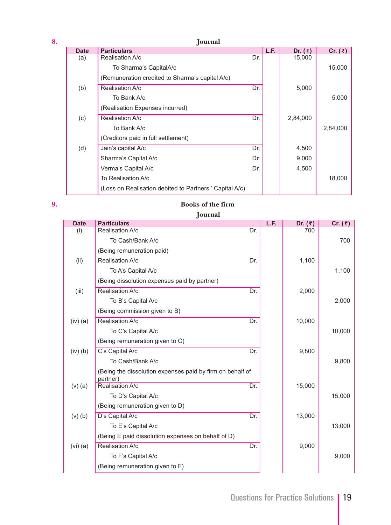| 8. | Journal     |                                                        |     |      |           |           |  |  |  |
|----|-------------|--------------------------------------------------------|-----|------|-----------|-----------|--|--|--|
|    | <b>Date</b> | <b>Particulars</b>                                     |     | L.F. | Dr. $(3)$ | Cr. $(3)$ |  |  |  |
|    | (a)         | Realisation A/c                                        | Dr. |      | 15,000    |           |  |  |  |
|    |             | To Sharma's CapitalA/c                                 |     |      |           | 15,000    |  |  |  |
|    |             | (Remuneration credited to Sharma's capital A/c)        |     |      |           |           |  |  |  |
|    | (b)         | Realisation A/c                                        | Dr. |      | 5,000     |           |  |  |  |
|    |             | To Bank A/c                                            |     |      |           | 5,000     |  |  |  |
|    |             | (Realisation Expenses incurred)                        |     |      |           |           |  |  |  |
|    | (c)         | Realisation A/c                                        | Dr. |      | 2,84,000  |           |  |  |  |
|    |             | To Bank A/c                                            |     |      |           | 2,84,000  |  |  |  |
|    |             | (Creditors paid in full settlement)                    |     |      |           |           |  |  |  |
|    | (d)         | Jain's capital A/c                                     | Dr. |      | 4,500     |           |  |  |  |
|    |             | Sharma's Capital A/c                                   | Dr. |      | 9,000     |           |  |  |  |
|    |             | Verma's Capital A/c                                    | Dr. |      | 4,500     |           |  |  |  |
|    |             | To Realisation A/c                                     |     |      |           | 18,000    |  |  |  |
|    |             | (Loss on Realisation debited to Partners' Capital A/c) |     |      |           |           |  |  |  |
|    |             |                                                        |     |      |           |           |  |  |  |

### **9. Books of the firm**

| Journal      |                                                                       |     |      |           |           |  |  |
|--------------|-----------------------------------------------------------------------|-----|------|-----------|-----------|--|--|
| <b>Date</b>  | <b>Particulars</b>                                                    |     | L.F. | Dr. $(3)$ | Cr. $(3)$ |  |  |
| (i)          | Realisation A/c                                                       | Dr. |      | 700       |           |  |  |
|              | To Cash/Bank A/c                                                      |     |      |           | 700       |  |  |
|              | (Being remuneration paid)                                             |     |      |           |           |  |  |
| (ii)         | Realisation A/c                                                       | Dr. |      | 1,100     |           |  |  |
|              | To A's Capital A/c                                                    |     |      |           | 1,100     |  |  |
|              | (Being dissolution expenses paid by partner)                          |     |      |           |           |  |  |
| (iii)        | Realisation A/c                                                       | Dr. |      | 2,000     |           |  |  |
|              | To B's Capital A/c                                                    |     |      |           | 2,000     |  |  |
|              | (Being commission given to B)                                         |     |      |           |           |  |  |
| $(iv)$ (a)   | Realisation A/c                                                       | Dr. |      | 10,000    |           |  |  |
|              | To C's Capital A/c                                                    |     |      |           | 10,000    |  |  |
|              | (Being remuneration given to C)                                       |     |      |           |           |  |  |
| $(iv)$ $(b)$ | C's Capital A/c                                                       | Dr. |      | 9,800     |           |  |  |
|              | To Cash/Bank A/c                                                      |     |      |           | 9,800     |  |  |
|              | (Being the dissolution expenses paid by firm on behalf of<br>partner) |     |      |           |           |  |  |
| $(v)$ (a)    | Realisation A/c                                                       | Dr. |      | 15,000    |           |  |  |
|              | To D's Capital A/c                                                    |     |      |           | 15,000    |  |  |
|              | (Being remuneration given to D)                                       |     |      |           |           |  |  |
| $(v)$ $(b)$  | D's Capital A/c                                                       | Dr. |      | 13,000    |           |  |  |
|              | To E's Capital A/c                                                    |     |      |           | 13,000    |  |  |
|              | (Being E paid dissolution expenses on behalf of D)                    |     |      |           |           |  |  |
| $(vi)$ (a)   | Realisation A/c                                                       | Dr. |      | 9,000     |           |  |  |
|              | To F's Capital A/c                                                    |     |      |           | 9,000     |  |  |
|              | (Being remuneration given to F)                                       |     |      |           |           |  |  |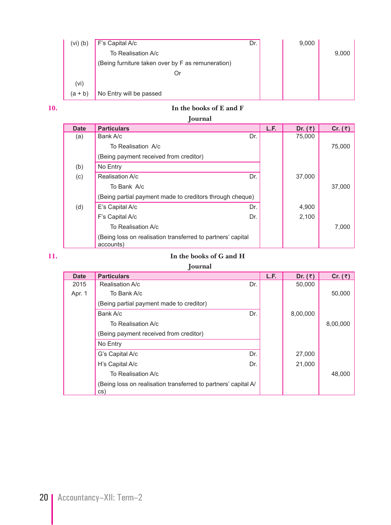| (vi)(b)   | F's Capital A/c                                   | Dr. | 9,000 |       |
|-----------|---------------------------------------------------|-----|-------|-------|
|           | To Realisation A/c                                |     |       | 9,000 |
|           | (Being furniture taken over by F as remuneration) |     |       |       |
|           | Or                                                |     |       |       |
| (vi)      |                                                   |     |       |       |
| $(a + b)$ | No Entry will be passed                           |     |       |       |

# **10. In the books of E and F**

| <b>Date</b> | <b>Particulars</b>                                                       | L.F. | Dr. $(3)$ | Cr. $(3)$ |
|-------------|--------------------------------------------------------------------------|------|-----------|-----------|
| (a)         | Bank A/c<br>Dr.                                                          |      | 75,000    |           |
|             | To Realisation A/c                                                       |      |           | 75,000    |
|             | (Being payment received from creditor)                                   |      |           |           |
| (b)         | No Entry                                                                 |      |           |           |
| (c)         | Dr.<br>Realisation A/c                                                   |      | 37,000    |           |
|             | To Bank A/c                                                              |      |           | 37,000    |
|             | (Being partial payment made to creditors through cheque)                 |      |           |           |
| (d)         | E's Capital A/c<br>Dr.                                                   |      | 4,900     |           |
|             | F's Capital A/c<br>Dr.                                                   |      | 2,100     |           |
|             | To Realisation A/c                                                       |      |           | 7,000     |
|             | (Being loss on realisation transferred to partners' capital<br>accounts) |      |           |           |

#### **11. In the books of G and H**

 **Journal**

| <b>Date</b> | <b>Particulars</b>                                                    |     | L.F. | Dr. $(3)$ | Cr. $(3)$ |
|-------------|-----------------------------------------------------------------------|-----|------|-----------|-----------|
| 2015        | Realisation A/c                                                       | Dr. |      | 50,000    |           |
| Apr. 1      | To Bank A/c                                                           |     |      |           | 50,000    |
|             | (Being partial payment made to creditor)                              |     |      |           |           |
|             | Bank A/c                                                              | Dr. |      | 8,00,000  |           |
|             | To Realisation A/c                                                    |     |      |           | 8,00,000  |
|             | (Being payment received from creditor)                                |     |      |           |           |
|             | No Entry                                                              |     |      |           |           |
|             | G's Capital A/c                                                       | Dr. |      | 27,000    |           |
|             | H's Capital A/c                                                       | Dr. |      | 21,000    |           |
|             | To Realisation A/c                                                    |     |      |           | 48,000    |
|             | (Being loss on realisation transferred to partners' capital A/<br>CS) |     |      |           |           |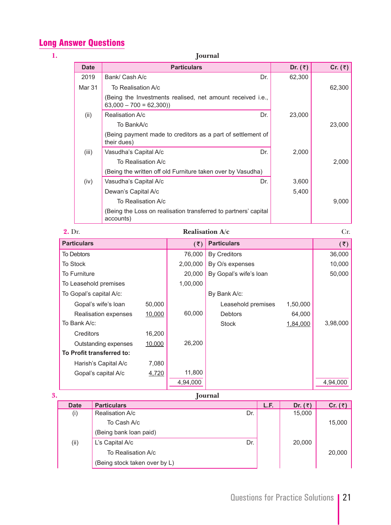# Long Answer Questions

| 1.                      | Journal                        |                    |                    |                                                                 |           |           |  |
|-------------------------|--------------------------------|--------------------|--------------------|-----------------------------------------------------------------|-----------|-----------|--|
| <b>Date</b>             |                                |                    | <b>Particulars</b> |                                                                 | Dr. $(3)$ | Cr. $(3)$ |  |
| 2019                    | Bank/ Cash A/c                 |                    |                    | Dr.                                                             | 62,300    |           |  |
| Mar 31                  | To Realisation A/c             |                    |                    |                                                                 |           | 62,300    |  |
|                         | $63,000 - 700 = 62,300)$       |                    |                    | (Being the Investments realised, net amount received i.e.,      |           |           |  |
| (ii)                    | Realisation A/c                |                    |                    | Dr.                                                             | 23,000    |           |  |
|                         | To BankA/c                     |                    |                    |                                                                 |           | 23,000    |  |
|                         | their dues)                    |                    |                    | (Being payment made to creditors as a part of settlement of     |           |           |  |
| (iii)                   | Vasudha's Capital A/c          |                    |                    | Dr.                                                             | 2,000     |           |  |
|                         |                                | To Realisation A/c |                    |                                                                 |           | 2,000     |  |
|                         |                                |                    |                    | (Being the written off old Furniture taken over by Vasudha)     |           |           |  |
| (iv)                    | Vasudha's Capital A/c          |                    |                    | Dr.                                                             | 3,600     |           |  |
|                         | Dewan's Capital A/c            |                    |                    |                                                                 | 5,400     |           |  |
|                         |                                | To Realisation A/c |                    |                                                                 |           | 9,000     |  |
|                         | accounts)                      |                    |                    | (Being the Loss on realisation transferred to partners' capital |           |           |  |
| 2. Dr.                  |                                |                    |                    | Realisation A/c                                                 |           | Cr.       |  |
| <b>Particulars</b>      |                                |                    | (5)                | <b>Particulars</b>                                              |           | (5)       |  |
| <b>To Debtors</b>       |                                |                    | 76,000             | <b>By Creditors</b>                                             |           | 36,000    |  |
| <b>To Stock</b>         |                                |                    | 2,00,000           | By O/s expenses                                                 |           | 10,000    |  |
| To Furniture            |                                |                    | 20,000             | By Gopal's wife's loan                                          |           | 50,000    |  |
| To Leasehold premises   |                                |                    | 1,00,000           |                                                                 |           |           |  |
| To Gopal's capital A/c: |                                |                    |                    | By Bank A/c:                                                    |           |           |  |
|                         | 50,000<br>Gopal's wife's loan  |                    |                    | Leasehold premises                                              | 1,50,000  |           |  |
|                         | Realisation expenses<br>10,000 |                    | 60,000             | <b>Debtors</b>                                                  | 64,000    |           |  |
| To Bank A/c:            |                                |                    |                    | <b>Stock</b>                                                    | 1,84,000  | 3,98,000  |  |
| Creditors               |                                | 16,200             |                    |                                                                 |           |           |  |
|                         | Outstanding expenses<br>10,000 |                    | 26,200             |                                                                 |           |           |  |
|                         | To Profit transferred to:      |                    |                    |                                                                 |           |           |  |
|                         | Harish's Capital A/c           | 7,080              |                    |                                                                 |           |           |  |
|                         | Gopal's capital A/c            | 4,720              | 11,800             |                                                                 |           |           |  |
|                         |                                |                    | 4,94,000           |                                                                 |           | 4,94,000  |  |

| 3. |             | <b>Journal</b>                |     |      |           |           |
|----|-------------|-------------------------------|-----|------|-----------|-----------|
|    | <b>Date</b> | <b>Particulars</b>            |     | L.F. | Dr. $(3)$ | Cr. $(3)$ |
|    | (i)         | Realisation A/c               | Dr. |      | 15,000    |           |
|    |             | To Cash A/c                   |     |      |           | 15,000    |
|    |             | (Being bank loan paid)        |     |      |           |           |
|    | (ii)        | L's Capital A/c               | Dr. |      | 20,000    |           |
|    |             | To Realisation A/c            |     |      |           | 20,000    |
|    |             | (Being stock taken over by L) |     |      |           |           |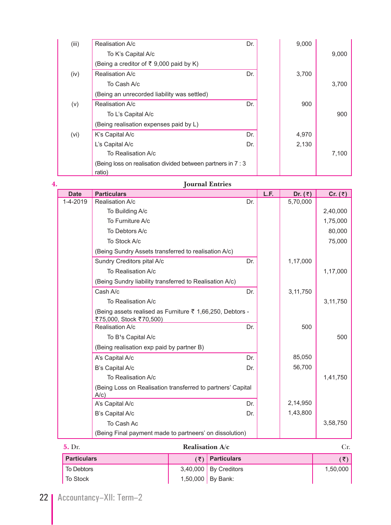| (iii) | Realisation A/c                                              | Dr. | 9,000 |       |  |
|-------|--------------------------------------------------------------|-----|-------|-------|--|
|       | To K's Capital A/c                                           |     |       | 9,000 |  |
|       | (Being a creditor of ₹ 9,000 paid by K)                      |     |       |       |  |
| (iv)  | Realisation A/c                                              | Dr. | 3,700 |       |  |
|       | To Cash A/c                                                  |     |       | 3,700 |  |
|       | (Being an unrecorded liability was settled)                  |     |       |       |  |
| (v)   | Realisation A/c                                              | Dr. | 900   |       |  |
|       | To L's Capital A/c                                           |     |       | 900   |  |
|       | (Being realisation expenses paid by L)                       |     |       |       |  |
| (vi)  | K's Capital A/c                                              | Dr. | 4,970 |       |  |
|       | L's Capital A/c                                              | Dr. | 2,130 |       |  |
|       | To Realisation A/c                                           |     |       | 7,100 |  |
|       | (Being loss on realisation divided between partners in 7 : 3 |     |       |       |  |
|       | ratio)                                                       |     |       |       |  |

# **4. Journal Entries**

| <b>Date</b> | <b>Particulars</b>                                                                              |     | L.F. | Dr. $(3)$ | Cr. $(3)$  |
|-------------|-------------------------------------------------------------------------------------------------|-----|------|-----------|------------|
| 1-4-2019    | Realisation A/c                                                                                 | Dr. |      | 5,70,000  |            |
|             | To Building A/c                                                                                 |     |      |           | 2,40,000   |
|             | To Furniture A/c                                                                                |     |      |           | 1,75,000   |
|             | To Debtors A/c                                                                                  |     |      |           | 80.000     |
|             | To Stock A/c                                                                                    |     |      |           | 75,000     |
|             | (Being Sundry Assets transferred to realisation A/c)                                            |     |      |           |            |
|             | Sundry Creditors pital A/c                                                                      | Dr. |      | 1,17,000  |            |
|             | To Realisation A/c                                                                              |     |      |           | 1,17,000   |
|             | (Being Sundry liability transferred to Realisation A/c)                                         |     |      |           |            |
|             | Cash A/c                                                                                        | Dr. |      | 3,11,750  |            |
|             | To Realisation A/c                                                                              |     |      |           | 3, 11, 750 |
|             | (Being assets realised as Furniture $\bar{\tau}$ 1,66,250, Debtors -<br>₹75,000, Stock ₹70,500) |     |      |           |            |
|             | Realisation A/c                                                                                 | Dr. |      | 500       |            |
|             | To B <sup>1</sup> s Capital A/c                                                                 |     |      |           | 500        |
|             | (Being realisation exp paid by partner B)                                                       |     |      |           |            |
|             | A's Capital A/c                                                                                 | Dr. |      | 85,050    |            |
|             | B's Capital A/c                                                                                 | Dr. |      | 56,700    |            |
|             | To Realisation A/c                                                                              |     |      |           | 1,41,750   |
|             | (Being Loss on Realisation transferred to partners' Capital<br>$A/c$ )                          |     |      |           |            |
|             | A's Capital A/c                                                                                 | Dr. |      | 2,14,950  |            |
|             | B's Capital A/c                                                                                 | Dr. |      | 1,43,800  |            |
|             | To Cash Ac                                                                                      |     |      |           | 3,58,750   |
|             | (Being Final payment made to partneers' on dissolution)                                         |     |      |           |            |

| <b>5.</b> Dr.      | <b>Realisation <math>A/c</math></b> |                         | Cr.      |  |
|--------------------|-------------------------------------|-------------------------|----------|--|
| <b>Particulars</b> |                                     | $(\bar{z})$ Particulars | ′₹)∣     |  |
| <b>To Debtors</b>  |                                     | $3,40,000$ By Creditors | 1.50.000 |  |
| <b>To Stock</b>    |                                     | 1,50,000 By Bank:       |          |  |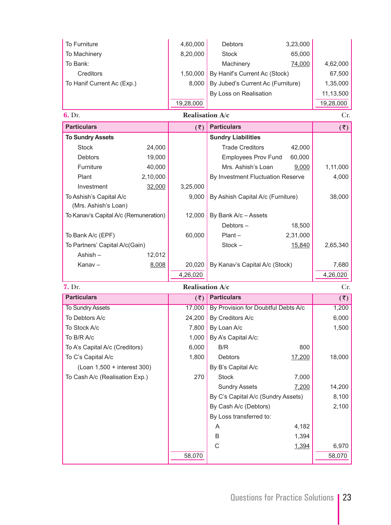| To Furniture                                    |          | 4,60,000        | <b>Debtors</b>                    | 3,23,000 |                 |
|-------------------------------------------------|----------|-----------------|-----------------------------------|----------|-----------------|
| To Machinery                                    |          | 8,20,000        | <b>Stock</b>                      | 65,000   |                 |
| To Bank:                                        |          |                 | Machinery                         | 74,000   | 4,62,000        |
| Creditors                                       |          | 1,50,000        | By Hanif's Current Ac (Stock)     |          | 67,500          |
| To Hanif Current Ac (Exp.)                      |          | 8,000           | By Jubed's Current Ac (Furniture) |          | 1,35,000        |
|                                                 |          |                 | By Loss on Realisation            |          | 11,13,500       |
|                                                 |          | 19,28,000       |                                   |          | 19,28,000       |
| 6. Dr.                                          |          | Realisation A/c |                                   |          | Cr.             |
| <b>Particulars</b>                              |          | (5)             | <b>Particulars</b>                |          | $(\bar{\zeta})$ |
| <b>To Sundry Assets</b>                         |          |                 | <b>Sundry Liabilities</b>         |          |                 |
| <b>Stock</b>                                    | 24,000   |                 | <b>Trade Creditors</b>            | 42,000   |                 |
| <b>Debtors</b>                                  | 19,000   |                 | <b>Employees Prov Fund</b>        | 60,000   |                 |
| Furniture                                       | 40,000   |                 | Mrs. Ashish's Loan                | 9,000    | 1,11,000        |
| Plant                                           | 2,10,000 |                 | By Investment Fluctuation Reserve |          | 4,000           |
| Investment                                      | 32,000   | 3,25,000        |                                   |          |                 |
| To Ashish's Capital A/c<br>(Mrs. Ashish's Loan) |          | 9,000           | By Ashish Capital A/c (Furniture) |          | 38,000          |
| To Kanav's Capital A/c (Remuneration)           |          | 12,000          | By Bank A/c - Assets              |          |                 |
|                                                 |          |                 | Debtors $-$                       | 18,500   |                 |
| To Bank A/c (EPF)                               |          | 60,000          | $Plant -$                         | 2,31,000 |                 |
| To Partners' Capital A/c(Gain)                  |          |                 | $Stock -$                         | 15,840   | 2,65,340        |
| Ashish-                                         | 12,012   |                 |                                   |          |                 |
| Kanav-                                          | 8,008    | 20,020          | By Kanav's Capital A/c (Stock)    |          | 7,680           |
|                                                 |          | 4,26,020        |                                   |          | 4,26,020        |
| 7. Dr.                                          |          | Realisation A/c |                                   |          | Cr.             |

| 7. DF.                         |        | <b>Realisation A/C</b>              |        | UF.                 |
|--------------------------------|--------|-------------------------------------|--------|---------------------|
| <b>Particulars</b>             | (₹)    | <b>Particulars</b>                  |        | $(\overline{\tau})$ |
| <b>To Sundry Assets</b>        | 17,000 | By Provision for Doubtful Debts A/c |        | 1,200               |
| To Debtors A/c                 | 24,200 | By Creditors A/c                    |        | 6,000               |
| To Stock A/c                   | 7,800  | By Loan A/c                         |        | 1,500               |
| To B/R A/c                     | 1,000  | By A's Capital A/c:                 |        |                     |
| To A's Capital A/c (Creditors) | 6,000  | B/R                                 | 800    |                     |
| To C's Capital A/c             | 1,800  | Debtors                             | 17,200 | 18,000              |
| (Loan 1,500 + interest 300)    |        | By B's Capital A/c                  |        |                     |
| To Cash A/c (Realisation Exp.) | 270    | <b>Stock</b>                        | 7,000  |                     |
|                                |        | <b>Sundry Assets</b>                | 7,200  | 14,200              |
|                                |        | By C's Capital A/c (Sundry Assets)  |        | 8,100               |
|                                |        | By Cash A/c (Debtors)               |        | 2,100               |
|                                |        | By Loss transferred to:             |        |                     |
|                                |        | A                                   | 4,182  |                     |
|                                |        | B                                   | 1,394  |                     |
|                                |        | C                                   | 1,394  | 6,970               |
|                                | 58,070 |                                     |        | 58,070              |
|                                |        |                                     |        |                     |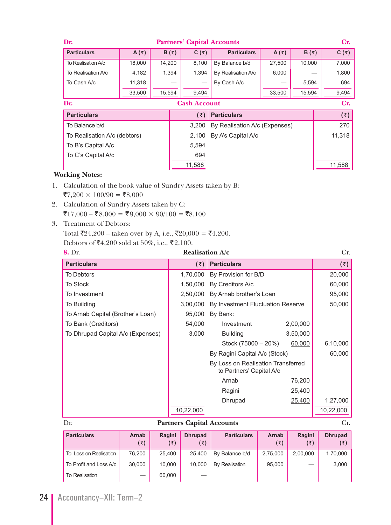| Dr.                          | <b>Partners' Capital Accounts</b> |              |       |              |                               |                     |              |              |
|------------------------------|-----------------------------------|--------------|-------|--------------|-------------------------------|---------------------|--------------|--------------|
| <b>Particulars</b>           | A( $\bar{z}$ )                    | $B(\bar{z})$ |       | $C(\bar{z})$ | <b>Particulars</b>            | A $(3)$             | $B(\bar{z})$ | $C(\bar{z})$ |
| To Realisation A/c           | 18,000                            | 14,200       |       | 8,100        | By Balance b/d                | 27,500              | 10,000       | 7,000        |
| To Realisation A/c           | 4,182                             | 1,394        |       | 1,394        | By Realisation A/c            | 6,000               |              | 1,800        |
| To Cash A/c                  | 11,318                            |              |       |              | By Cash A/c                   |                     | 5,594        | 694          |
|                              | 33,500                            | 15,594       | 9,494 |              |                               | 33,500              | 15,594       | 9,494        |
| Dr.<br><b>Cash Account</b>   |                                   |              |       |              |                               |                     |              | Cr.          |
| <b>Particulars</b>           |                                   |              |       | (3)          |                               | $(\overline{\tau})$ |              |              |
| To Balance b/d               |                                   |              |       | 3,200        | By Realisation A/c (Expenses) |                     | 270          |              |
| To Realisation A/c (debtors) |                                   |              |       | 2,100        | By A's Capital A/c            |                     |              | 11,318       |
| To B's Capital A/c           |                                   |              |       | 5,594        |                               |                     |              |              |
| To C's Capital A/c           |                                   |              |       | 694          |                               |                     |              |              |
|                              |                                   |              |       | 11,588       |                               |                     |              | 11,588       |

- 1. Calculation of the book value of Sundry Assets taken by B:  $\overline{$}7,200 \times 100/90 = \overline{$}8,000$
- 2. Calculation of Sundry Assets taken by C:  $\overline{5}17,000 - \overline{5}8,000 = \overline{5}9,000 \times 90/100 = \overline{5}8,100$
- 3. Treatment of Debtors:

Total ₹24,200 – taken over by A, i.e., ₹20,000 = ₹4,200.

**Debtors of ₹4,200 sold at 50%, i.e., ₹2,100.**<br>**8.** Dr

| e e | ٠ |  |
|-----|---|--|
|     |   |  |
|     | ۰ |  |

| 8. Dr.                            | <b>Realisation A/c</b>                                                                                                                                                                                                         |                                                                |          | Cr.                  |
|-----------------------------------|--------------------------------------------------------------------------------------------------------------------------------------------------------------------------------------------------------------------------------|----------------------------------------------------------------|----------|----------------------|
| <b>Particulars</b>                | (5)                                                                                                                                                                                                                            | <b>Particulars</b>                                             |          | $(\overline{\zeta})$ |
| <b>To Debtors</b>                 | 1,70,000                                                                                                                                                                                                                       | By Provision for B/D                                           |          | 20,000               |
| <b>To Stock</b>                   | 1,50,000                                                                                                                                                                                                                       | By Creditors A/c                                               |          | 60,000               |
| To Investment                     | 2,50,000                                                                                                                                                                                                                       | By Arnab brother's Loan                                        |          | 95,000               |
| To Building                       | 3,00,000                                                                                                                                                                                                                       | By Investment Fluctuation Reserve                              |          | 50,000               |
| To Arnab Capital (Brother's Loan) | 95,000                                                                                                                                                                                                                         | By Bank:                                                       |          |                      |
| To Bank (Creditors)               | 54,000                                                                                                                                                                                                                         | Investment                                                     | 2,00,000 |                      |
| To Dhrupad Capital A/c (Expenses) | 3,000                                                                                                                                                                                                                          | <b>Building</b>                                                | 3,50,000 |                      |
|                                   |                                                                                                                                                                                                                                | Stock (75000 - 20%)                                            | 60,000   | 6,10,000             |
|                                   |                                                                                                                                                                                                                                | By Ragini Capital A/c (Stock)                                  |          | 60,000               |
|                                   |                                                                                                                                                                                                                                | By Loss on Realisation Transferred<br>to Partners' Capital A/c |          |                      |
|                                   |                                                                                                                                                                                                                                | Arnab                                                          | 76,200   |                      |
|                                   |                                                                                                                                                                                                                                | Ragini                                                         | 25,400   |                      |
|                                   |                                                                                                                                                                                                                                | Dhrupad                                                        | 25,400   | 1,27,000             |
|                                   | 10,22,000                                                                                                                                                                                                                      |                                                                |          | 10,22,000            |
| Dr.                               | <b>Partners Capital Accounts</b>                                                                                                                                                                                               |                                                                |          | Cr.                  |
| .<br>$\sim$ $\sim$ $\sim$         | in the second contract of the second second and the second second second and second the second second and second the second second and second and second second and second and second and second and second and second and sec | $\sim$ $\sim$ $\sim$<br>.                                      | - - -    | $\sim$ $\sim$ $\sim$ |

| <b>Particulars</b>     | <b>Arnab</b><br>(₹) | Ragini<br>(₹) | <b>Dhrupad</b><br>(₹) | <b>Particulars</b>    | <b>Arnab</b><br>(₹) | Ragini<br>(₹) | <b>Dhrupad</b> |
|------------------------|---------------------|---------------|-----------------------|-----------------------|---------------------|---------------|----------------|
| To Loss on Realisation | 76.200              | 25.400        | 25.400                | By Balance b/d        | 2,75,000            | 2,00,000      | 1,70,000       |
| To Profit and Loss A/c | 30.000              | 10.000        | 10.000                | <b>By Realisation</b> | 95.000              |               | 3,000          |
| To Realisation         | —                   | 60.000        |                       |                       |                     |               |                |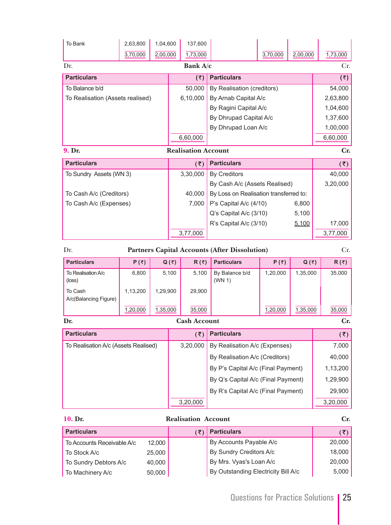| To Bank                              | 2,63,800                | 1,04,600 |              | 137,600                         |                                                      |              |              |              |
|--------------------------------------|-------------------------|----------|--------------|---------------------------------|------------------------------------------------------|--------------|--------------|--------------|
|                                      | 3,70,000                | 2,00,000 |              | 1,73,000                        |                                                      | 3,70,000     | 2,00,000     | 1,73,000     |
| Dr.                                  |                         |          |              | Bank A/c                        |                                                      |              |              | Cr.          |
| <b>Particulars</b>                   |                         |          |              | (5)                             | <b>Particulars</b>                                   |              |              | (5)          |
| To Balance b/d                       |                         |          |              | 50,000                          | By Realisation (creditors)                           |              |              | 54,000       |
| To Realisation (Assets realised)     |                         |          |              | 6,10,000                        | By Arnab Capital A/c                                 |              |              | 2,63,800     |
|                                      |                         |          |              |                                 | By Ragini Capital A/c                                |              |              | 1,04,600     |
|                                      |                         |          |              |                                 | By Dhrupad Capital A/c                               |              |              | 1,37,600     |
|                                      |                         |          |              |                                 | By Dhrupad Loan A/c                                  |              |              | 1,00,000     |
|                                      |                         |          |              | 6,60,000                        |                                                      |              |              | 6,60,000     |
| <b>Realisation Account</b><br>9. Dr. |                         |          |              |                                 |                                                      |              |              | Cr.          |
| <b>Particulars</b>                   |                         |          |              | (5)                             | <b>Particulars</b>                                   |              |              | (3)          |
| To Sundry Assets (WN 3)              |                         |          |              | 3,30,000<br><b>By Creditors</b> |                                                      |              |              | 40,000       |
|                                      |                         |          |              |                                 | By Cash A/c (Assets Realised)                        |              |              | 3,20,000     |
|                                      | To Cash A/c (Creditors) |          |              | 40,000                          | By Loss on Realisation transferred to:               |              |              |              |
| To Cash A/c (Expenses)               |                         |          |              | 7,000                           | P's Capital A/c (4/10)                               |              | 6,800        |              |
|                                      |                         |          |              |                                 | Q's Capital A/c (3/10)<br>5,100                      |              |              |              |
|                                      |                         |          |              |                                 | R's Capital A/c (3/10)                               |              | 5,100        | 17,000       |
|                                      |                         |          |              | 3,77,000                        |                                                      |              |              | 3,77,000     |
| Dr.                                  |                         |          |              |                                 | <b>Partners Capital Accounts (After Dissolution)</b> |              |              | Cr.          |
| <b>Particulars</b>                   | $P(\bar{z})$            |          | $Q(\bar{z})$ | $R(\bar{z})$                    | <b>Particulars</b>                                   | $P(\bar{z})$ | $Q(\bar{z})$ | $R(\bar{z})$ |
| To Realisation A/c<br>(loss)         | 6,800                   |          | 5,100        | 5,100                           | By Balance b/d<br>(WN 1)                             | 1,20,000     | 1,35,000     | 35,000       |
| To Cash<br>A/c(Balancing Figure)     | 1,13,200                | 1,29,900 | 29,900       |                                 |                                                      |              |              |              |
|                                      | 1,20,000                | 1,35,000 |              | 35,000                          |                                                      | 1,20,000     | 1,35,000     | 35,000       |
| Dr.                                  |                         |          |              | <b>Cash Account</b>             |                                                      |              |              | Cr.          |
| <b>Particulars</b>                   |                         |          |              | (5)                             | <b>Particulars</b>                                   |              |              | (5)          |
| To Realisation A/c (Assets Realised) |                         |          |              | 3,20,000                        | By Realisation A/c (Expenses)                        |              |              | 7,000        |

|                  | Cr.      |                                    |                |
|------------------|----------|------------------------------------|----------------|
|                  | (₹)      | <b>Particulars</b>                 | $(\bar{\tau})$ |
| Assets Realised) | 3.20.000 | By Realisation A/c (Expenses)      | 7,000          |
|                  |          | By Realisation A/c (Creditors)     | 40,000         |
|                  |          | By P's Capital A/c (Final Payment) | 1,13,200       |
|                  |          | By Q's Capital A/c (Final Payment) | 1,29,900       |
|                  |          | By R's Capital A/c (Final Payment) | 29,900         |

 $3,20,000$  3,20,000

#### **10. Dr. Realisation Account Cr.**

**Particulars** (₹) **Particulars** (₹) **Particulars** (₹) To Accounts Receivable A/c 12,000 By Accounts Payable A/c 20,000 To Stock A/c 25,000 By Sundry Creditors A/c 18,000 To Sundry Debtors A/c  $40,000$  By Mrs. Vyas's Loan A/c 20,000 To Machinery A/c 50,000 50,000 By Outstanding Electricity Bill A/c 5,000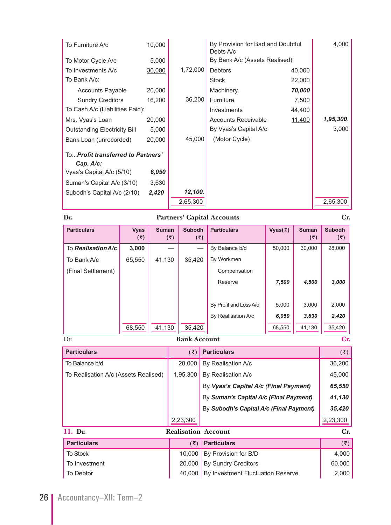| To Furniture A/c                    | 10,000 |          | By Provision for Bad and Doubtful<br>Debts A/c |        | 4,000     |
|-------------------------------------|--------|----------|------------------------------------------------|--------|-----------|
| To Motor Cycle A/c                  | 5,000  |          | By Bank A/c (Assets Realised)                  |        |           |
| To Investments A/c                  | 30,000 | 1,72,000 | <b>Debtors</b>                                 | 40,000 |           |
| To Bank A/c:                        |        |          | <b>Stock</b>                                   | 22,000 |           |
| <b>Accounts Payable</b>             | 20,000 |          | Machinery.                                     | 70,000 |           |
| <b>Sundry Creditors</b>             | 16,200 | 36,200   | Furniture                                      | 7,500  |           |
| To Cash A/c (Liabilities Paid):     |        |          | Investments                                    | 44,400 |           |
| Mrs. Vyas's Loan                    | 20,000 |          | <b>Accounts Receivable</b>                     | 11,400 | 1,95,300. |
| <b>Outstanding Electricity Bill</b> | 5,000  |          | By Vyas's Capital A/c                          |        | 3,000     |
| Bank Loan (unrecorded)              | 20,000 | 45,000   | (Motor Cycle)                                  |        |           |
| ToProfit transferred to Partners'   |        |          |                                                |        |           |
| Cap. A/c:                           |        |          |                                                |        |           |
| Vyas's Capital A/c (5/10)           | 6,050  |          |                                                |        |           |
| Suman's Capital A/c (3/10)          | 3,630  |          |                                                |        |           |
| Subodh's Capital A/c (2/10)         | 2,420  | 12,100.  |                                                |        |           |
|                                     |        | 2,65,300 |                                                |        | 2,65,300  |

# **Dr. Partners' Capital Accounts Cr.**

| <b>Particulars</b> | <b>Vyas</b><br>(3)         | <b>Suman</b><br>(₹) | <b>Subodh</b><br>(3) | <b>Particulars</b>     | Vyas $(\bar{z})$ | <b>Suman</b><br>(3) | <b>Subodh</b><br>(3) |  |  |
|--------------------|----------------------------|---------------------|----------------------|------------------------|------------------|---------------------|----------------------|--|--|
| To Realisation A/c | 3,000                      |                     |                      | By Balance b/d         | 50,000           | 30,000              | 28,000               |  |  |
| To Bank A/c        | 65,550                     | 41,130              | 35,420               | By Workmen             |                  |                     |                      |  |  |
| (Final Settlement) |                            |                     |                      | Compensation           |                  |                     |                      |  |  |
|                    |                            |                     |                      | Reserve                | 7,500            | 4,500               | 3,000                |  |  |
|                    |                            |                     |                      |                        |                  |                     |                      |  |  |
|                    |                            |                     |                      | By Profit and Loss A/c | 5,000            | 3.000               | 2,000                |  |  |
|                    |                            |                     |                      | By Realisation A/c     | 6,050            | 3,630               | 2,420                |  |  |
|                    | 68,550                     | 41,130              | 35,420               |                        | 68,550           | 41,130              | 35,420               |  |  |
| Dr.                | <b>Bank Account</b><br>Cr. |                     |                      |                        |                  |                     |                      |  |  |

| <b>Particulars</b>                   | (5)                        | <b>Particulars</b>                      | (5)                  |
|--------------------------------------|----------------------------|-----------------------------------------|----------------------|
| To Balance b/d                       | 28,000                     | By Realisation A/c                      | 36,200               |
| To Realisation A/c (Assets Realised) | 1,95,300                   | By Realisation A/c                      | 45,000               |
|                                      |                            | By Vyas's Capital A/c (Final Payment)   | 65,550               |
|                                      |                            | By Suman's Capital A/c (Final Payment)  | 41,130               |
|                                      |                            | By Subodh's Capital A/c (Final Payment) | 35,420               |
|                                      | 2,23,300                   |                                         | 2,23,300             |
| 11. Dr.                              | <b>Realisation Account</b> |                                         | Cr.                  |
| <b>Particulars</b>                   | (3)                        | <b>Particulars</b>                      | $(\overline{\zeta})$ |
| <b>To Stock</b>                      | 10,000                     | By Provision for B/D                    | 4,000                |
| To Investment                        | 20,000                     | <b>By Sundry Creditors</b>              | 60,000               |
| To Debtor                            | 40.000                     | By Investment Fluctuation Reserve       | 2,000                |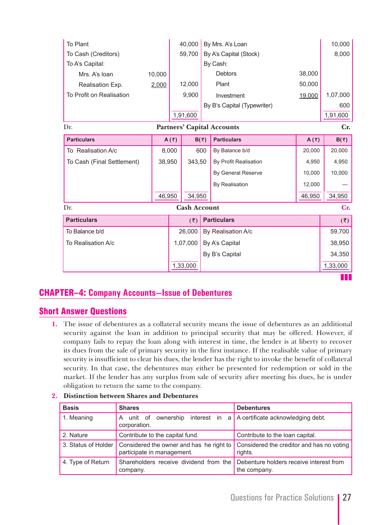| To Plant                   |          |         | 40,000               |                | By Mrs. A's Loan                  |                | 10,000       |
|----------------------------|----------|---------|----------------------|----------------|-----------------------------------|----------------|--------------|
| To Cash (Creditors)        |          |         | 59,700               |                | By A's Capital (Stock)            |                | 8,000        |
| To A's Capital:            |          |         |                      |                | By Cash:                          |                |              |
| Mrs. A's loan              | 10,000   |         |                      |                | <b>Debtors</b>                    | 38,000         |              |
| Realisation Exp.           | 2,000    |         | 12,000               |                | Plant                             | 50,000         |              |
| To Profit on Realisation   |          |         | 9,900                |                | Investment                        | 19,000         | 1,07,000     |
|                            |          |         |                      |                | By B's Capital (Typewriter)       |                | 600          |
|                            |          |         | 1,91,600             |                |                                   |                | 1,91,600     |
| Dr.                        |          |         |                      |                | <b>Partners' Capital Accounts</b> |                | Cr.          |
| <b>Particulars</b>         |          | A $(3)$ |                      | $B(\bar{z})$   | <b>Particulars</b>                | A( $\bar{z}$ ) | $B(\bar{z})$ |
| To Realisation A/c         |          | 8,000   |                      | 600            | By Balance b/d                    | 20,000         | 20,000       |
| To Cash (Final Settlement) | 38,950   |         | 343,50               |                | By Profit Realisation             | 4,950          | 4,950        |
|                            |          |         |                      |                | By General Reserve                | 10,000         | 10,000       |
|                            |          |         |                      |                | By Realisation                    | 12,000         |              |
|                            | 46,950   |         | 34,950               |                |                                   | 46,950         | 34,950       |
| Dr.                        |          |         | <b>Cash Account</b>  |                |                                   |                | Cr.          |
| <b>Particulars</b>         |          |         | $(\overline{\zeta})$ |                | <b>Particulars</b>                |                | (5)          |
| To Balance b/d             |          |         | 26,000               |                | By Realisation A/c                |                | 59,700       |
| To Realisation A/c         | 1,07,000 |         |                      | By A's Capital |                                   | 38,950         |              |
|                            |          |         |                      | By B's Capital |                                   |                | 34,350       |
|                            |          |         | 1,33,000             |                |                                   |                | 1,33,000     |
|                            |          |         |                      |                |                                   |                |              |

CHAPTER–4: **Company Accounts—Issue of Debentures**

# Short Answer Questions

**1.** The issue of debentures as a collateral security means the issue of debentures as an additional security against the loan in addition to principal security that may be offered. However, if company fails to repay the loan along with interest in time, the lender is at liberty to recover its dues from the sale of primary security in the first instance. If the realisable value of primary security is insufficient to clear his dues, the lender has the right to invoke the benefit of collateral security. In that case, the debentures may either be presented for redemption or sold in the market. If the lender has any surplus from sale of security after meeting his dues, he is under obligation to return the same to the company.

| <b>Basis</b>      | <b>Shares</b>                                                                                | <b>Debentures</b>                                                |  |  |  |
|-------------------|----------------------------------------------------------------------------------------------|------------------------------------------------------------------|--|--|--|
| 1. Meaning        | unit of<br>A<br>corporation.                                                                 | ownership interest in $a \mid A$ certificate acknowledging debt. |  |  |  |
| 2. Nature         | Contribute to the capital fund.                                                              | Contribute to the loan capital.                                  |  |  |  |
|                   | 3. Status of Holder   Considered the owner and has he right to<br>participate in management. | Considered the creditor and has no voting<br>rights.             |  |  |  |
| 4. Type of Return | Shareholders receive dividend from the<br>company.                                           | Debenture holders receive interest from<br>the company.          |  |  |  |

**2. Distinction between Shares and Debentures**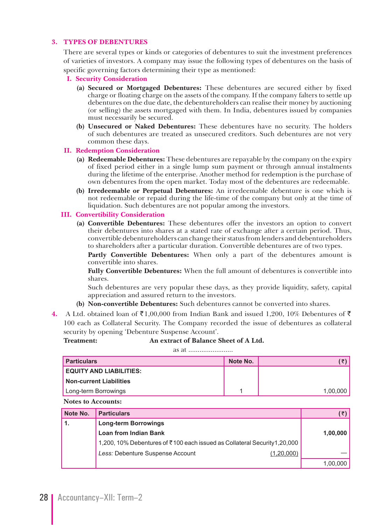#### **3. TYPES OF DEBENTURES**

There are several types or kinds or categories of debentures to suit the investment preferences of varieties of investors. A company may issue the following types of debentures on the basis of specific governing factors determining their type as mentioned:

- **I. Security Consideration**
	- **(a) Secured or Mortgaged Debentures:** These debentures are secured either by fixed charge or floating charge on the assets of the company. If the company falters to settle up debentures on the due date, the debentureholders can realise their money by auctioning (or selling) the assets mortgaged with them. In India, debentures issued by companies must necessarily be secured.
	- **(b) Unsecured or Naked Debentures:** These debentures have no security. The holders of such debentures are treated as unsecured creditors. Such debentures are not very common these days.
- **II. Redemption Consideration**
	- **(a) Redeemable Debentures:** These debentures are repayable by the company on the expiry of fixed period either in a single lump sum payment or through annual instalments during the lifetime of the enterprise. Another method for redemption is the purchase of own debentures from the open market. Today most of the debentures are redeemable.
	- **(b) Irredeemable or Perpetual Debentures:** An irredeemable debenture is one which is not redeemable or repaid during the life-time of the company but only at the time of liquidation. Such debentures are not popular among the investors.

#### **III. Convertibility Consideration**

 **(a) Convertible Debentures:** These debentures offer the investors an option to convert their debentures into shares at a stated rate of exchange after a certain period. Thus, convertible debentureholders can change their status from lenders and debentureholders to shareholders after a particular duration. Convertible debentures are of two types.

 **Partly Convertible Debentures:** When only a part of the debentures amount is convertible into shares.

 **Fully Convertible Debentures:** When the full amount of debentures is convertible into shares.

 Such debentures are very popular these days, as they provide liquidity, safety, capital appreciation and assured return to the investors.

- **(b) Non-convertible Debentures:** Such debentures cannot be converted into shares.
- **4.** A Ltd. obtained loan of  $\overline{\xi}1,00,000$  from Indian Bank and issued 1,200, 10% Debentures of  $\overline{\xi}$ 100 each as Collateral Security. The Company recorded the issue of debentures as collateral security by opening 'Debenture Suspense Account'.

**Treatment: An extract of Balance Sheet of A Ltd.**

as at ........................

| <b>Particulars</b>             | Note No. |          |
|--------------------------------|----------|----------|
| EQUITY AND LIABILITIES:        |          |          |
| <b>Non-current Liabilities</b> |          |          |
| Long-term Borrowings           |          | 1,00,000 |

 **Notes to Accounts:**

| Note No. | <b>Particulars</b>                                                        |          |
|----------|---------------------------------------------------------------------------|----------|
|          | <b>Long-term Borrowings</b>                                               |          |
|          | <b>Loan from Indian Bank</b>                                              | 1,00,000 |
|          | 1,200, 10% Debentures of ₹100 each issued as Collateral Security 1,20,000 |          |
|          | Less: Debenture Suspense Account<br>(1,20,000)                            |          |
|          |                                                                           | 1,00,000 |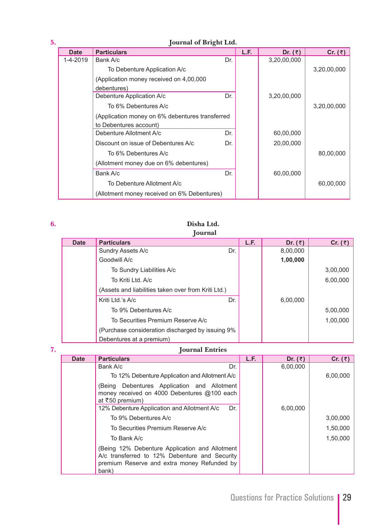# **5. Journal of Bright Ltd.**

| <b>Date</b> | <b>Particulars</b>                              |     | L.F. | Dr. $(\bar{z})$ | Cr. $(\bar{z})$ |
|-------------|-------------------------------------------------|-----|------|-----------------|-----------------|
| 1-4-2019    | Bank A/c                                        | Dr. |      | 3,20,00,000     |                 |
|             | To Debenture Application A/c                    |     |      |                 | 3,20,00,000     |
|             | (Application money received on 4,00,000)        |     |      |                 |                 |
|             | debentures)                                     |     |      |                 |                 |
|             | Debenture Application A/c                       | Dr. |      | 3,20,00,000     |                 |
|             | To 6% Debentures A/c                            |     |      |                 | 3,20,00,000     |
|             | (Application money on 6% debentures transferred |     |      |                 |                 |
|             | to Debentures account)                          |     |      |                 |                 |
|             | Debenture Allotment A/c                         | Dr. |      | 60,00,000       |                 |
|             | Discount on issue of Debentures A/c             | Dr. |      | 20,00,000       |                 |
|             | To 6% Debentures A/c                            |     |      |                 | 80,00,000       |
|             | (Allotment money due on 6% debentures)          |     |      |                 |                 |
|             | Bank A/c                                        | Dr. |      | 60,00,000       |                 |
|             | To Debenture Allotment A/c                      |     |      |                 | 60,00,000       |
|             | (Allotment money received on 6% Debentures)     |     |      |                 |                 |

#### **6. Disha Ltd. Journal**

| $10$ <i>uluu</i> |                                                     |     |      |                 |           |  |  |  |
|------------------|-----------------------------------------------------|-----|------|-----------------|-----------|--|--|--|
| <b>Date</b>      | <b>Particulars</b>                                  |     | L.F. | Dr. $(\bar{z})$ | Cr. $(3)$ |  |  |  |
|                  | Sundry Assets A/c                                   | Dr. |      | 8,00,000        |           |  |  |  |
|                  | Goodwill A/c                                        |     |      | 1,00,000        |           |  |  |  |
|                  | To Sundry Liabilities A/c                           |     |      |                 | 3,00,000  |  |  |  |
|                  | To Kriti Ltd. A/c                                   |     |      |                 | 6,00,000  |  |  |  |
|                  | (Assets and liabilities taken over from Kriti Ltd.) |     |      |                 |           |  |  |  |
|                  | Kriti Ltd.'s A/c                                    | Dr. |      | 6,00,000        |           |  |  |  |
|                  | To 9% Debentures A/c                                |     |      |                 | 5,00,000  |  |  |  |
|                  | To Securities Premium Reserve A/c                   |     |      |                 | 1,00,000  |  |  |  |
|                  | (Purchase consideration discharged by issuing 9%)   |     |      |                 |           |  |  |  |
|                  | Debentures at a premium)                            |     |      |                 |           |  |  |  |

# **7. Journal Entries**

| <b>Date</b> | <b>Particulars</b>                                                                                                                                      | L.F. | Dr. ( $\bar{z}$ | Cr. $(\bar{z})$ |
|-------------|---------------------------------------------------------------------------------------------------------------------------------------------------------|------|-----------------|-----------------|
|             | Bank A/c<br>Dr.                                                                                                                                         |      | 6,00,000        |                 |
|             | To 12% Debenture Application and Allotment A/c                                                                                                          |      |                 | 6,00,000        |
|             | Debentures Application and Allotment<br>(Being<br>money received on 4000 Debentures @100 each<br>at ₹50 premium)                                        |      |                 |                 |
|             | 12% Debenture Application and Allotment A/c<br>Dr.                                                                                                      |      | 6,00,000        |                 |
|             | To 9% Debentures A/c                                                                                                                                    |      |                 | 3,00,000        |
|             | To Securities Premium Reserve A/c                                                                                                                       |      |                 | 1,50,000        |
|             | To Bank A/c                                                                                                                                             |      |                 | 1,50,000        |
|             | (Being 12% Debenture Application and Allotment<br>A/c transferred to 12% Debenture and Security<br>premium Reserve and extra money Refunded by<br>bank) |      |                 |                 |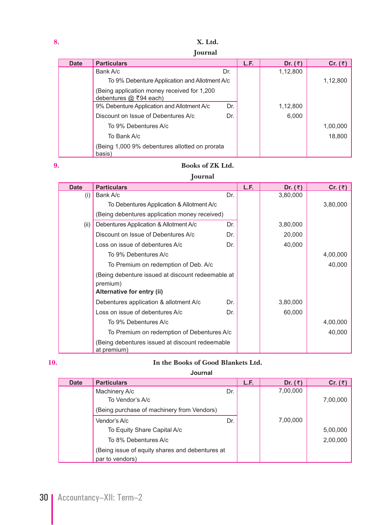**Journal**

| <b>Date</b> | <b>Particulars</b>                                                      |     | L.F. | Dr. $(\bar{z})$ | Cr. $(3)$ |
|-------------|-------------------------------------------------------------------------|-----|------|-----------------|-----------|
|             | Bank A/c                                                                | Dr. |      | 1,12,800        |           |
|             | To 9% Debenture Application and Allotment A/c                           |     |      |                 | 1,12,800  |
|             | (Being application money received for 1,200<br>debentures $@$ ₹94 each) |     |      |                 |           |
|             | 9% Debenture Application and Allotment A/c                              | Dr. |      | 1,12,800        |           |
|             | Discount on Issue of Debentures A/c                                     | Dr. |      | 6,000           |           |
|             | To 9% Debentures A/c                                                    |     |      |                 | 1,00,000  |
|             | To Bank A/c                                                             |     |      |                 | 18,800    |
|             | (Being 1,000 9% debentures allotted on prorata<br>basis)                |     |      |                 |           |

#### **9. Books of ZK Ltd.**

#### **Journal**

| <b>Date</b> | <b>Particulars</b>                                                                          |     | L.F. | Dr. $(3)$ | Cr. $(3)$ |
|-------------|---------------------------------------------------------------------------------------------|-----|------|-----------|-----------|
| (i)         | Bank A/c                                                                                    | Dr. |      | 3,80,000  |           |
|             | To Debentures Application & Allotment A/c                                                   |     |      |           | 3,80,000  |
|             | (Being debentures application money received)                                               |     |      |           |           |
| (ii)        | Debentures Application & Allotment A/c                                                      | Dr. |      | 3,80,000  |           |
|             | Discount on Issue of Debentures A/c                                                         | Dr. |      | 20,000    |           |
|             | Loss on issue of debentures A/c                                                             | Dr. |      | 40,000    |           |
|             | To 9% Debentures A/c                                                                        |     |      |           | 4,00,000  |
|             | To Premium on redemption of Deb. A/c                                                        |     |      |           | 40,000    |
|             | (Being debenture issued at discount redeemable at<br>premium)<br>Alternative for entry (ii) |     |      |           |           |
|             | Debentures application & allotment A/c                                                      | Dr. |      | 3,80,000  |           |
|             | Loss on issue of debentures A/c                                                             | Dr. |      | 60,000    |           |
|             | To 9% Debentures A/c                                                                        |     |      |           | 4,00,000  |
|             | To Premium on redemption of Debentures A/c                                                  |     |      |           | 40,000    |
|             | (Being debentures issued at discount redeemable<br>at premium)                              |     |      |           |           |

# **10. In the Books of Good Blankets Ltd.**

 **Journal**

| <b>Date</b> | <b>Particulars</b>                              |     | L.F. | Dr. $(3)$ | Cr. $(\bar{z})$ |
|-------------|-------------------------------------------------|-----|------|-----------|-----------------|
|             | Machinery A/c                                   | Dr. |      | 7,00,000  |                 |
|             | To Vendor's A/c                                 |     |      |           | 7,00,000        |
|             | (Being purchase of machinery from Vendors)      |     |      |           |                 |
|             | Vendor's A/c                                    | Dr. |      | 7,00,000  |                 |
|             | To Equity Share Capital A/c                     |     |      |           | 5,00,000        |
|             | To 8% Debentures A/c                            |     |      |           | 2,00,000        |
|             | (Being issue of equity shares and debentures at |     |      |           |                 |
|             | par to vendors)                                 |     |      |           |                 |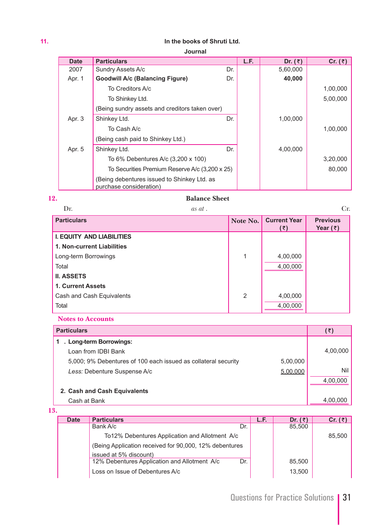#### **11. In the books of Shruti Ltd.**

**Journal**

| <b>Date</b> | <b>Particulars</b>                                                     |     | L.F. | Dr. $(\bar{z})$ | Cr. $(\bar{z})$ |
|-------------|------------------------------------------------------------------------|-----|------|-----------------|-----------------|
| 2007        | Sundry Assets A/c                                                      | Dr. |      | 5,60,000        |                 |
| Apr. 1      | <b>Goodwill A/c (Balancing Figure)</b>                                 | Dr. |      | 40,000          |                 |
|             | To Creditors A/c                                                       |     |      |                 | 1,00,000        |
|             | To Shinkey Ltd.                                                        |     |      |                 | 5,00,000        |
|             | (Being sundry assets and creditors taken over)                         |     |      |                 |                 |
| Apr. 3      | Shinkey Ltd.                                                           | Dr. |      | 1,00,000        |                 |
|             | To Cash A/c                                                            |     |      |                 | 1,00,000        |
|             | (Being cash paid to Shinkey Ltd.)                                      |     |      |                 |                 |
| Apr. 5      | Shinkey Ltd.                                                           | Dr. |      | 4,00,000        |                 |
|             | To 6% Debentures A/c (3,200 x 100)                                     |     |      |                 | 3,20,000        |
|             | To Securities Premium Reserve A/c (3,200 x 25)                         |     |      |                 | 80.000          |
|             | (Being debentures issued to Shinkey Ltd. as<br>purchase consideration) |     |      |                 |                 |

#### **12. Balance Sheet**

Dr. **as at .** Cr. **Particulars Note No. Current Year Note No. Current Year (™) Previous Year** (₹) **I. EQUITY AND LIABILITIES 1. Non-current Liabilities**  Long-term Borrowings and the set of the set of the set of the set of the set of the set of the set of the set o Total 4,00,000 **II. ASSETS 1. Current Assets** Cash and Cash Equivalents 2 4,00,000 Total 4,00,000

#### **Notes to Accounts**

| <b>Particulars</b>                                             |          | (₹)      |
|----------------------------------------------------------------|----------|----------|
| Long-term Borrowings:                                          |          |          |
| Loan from IDBI Bank                                            |          | 4,00,000 |
| 5,000; 9% Debentures of 100 each issued as collateral security | 5,00,000 |          |
| Less: Debenture Suspense A/c                                   | 5,00,000 | Nil      |
|                                                                |          | 4.00.000 |
| 2. Cash and Cash Equivalents                                   |          |          |
| Cash at Bank                                                   |          | 4,00,000 |

#### **13.**

| <b>Date</b> | <b>Particulars</b>                                     | L.F. | Dr. $(\bar{z})$ | Cr. $(\bar{z})$ |
|-------------|--------------------------------------------------------|------|-----------------|-----------------|
|             | Bank A/c<br>Dr.                                        |      | 85,500          |                 |
|             | To 12% Debentures Application and Allotment A/c        |      |                 | 85.500          |
|             | (Being Application received for 90,000, 12% debentures |      |                 |                 |
|             | issued at 5% discount)                                 |      |                 |                 |
|             | 12% Debentures Application and Allotment A/c<br>Dr.    |      | 85,500          |                 |
|             | Loss on Issue of Debentures A/c                        |      | 13,500          |                 |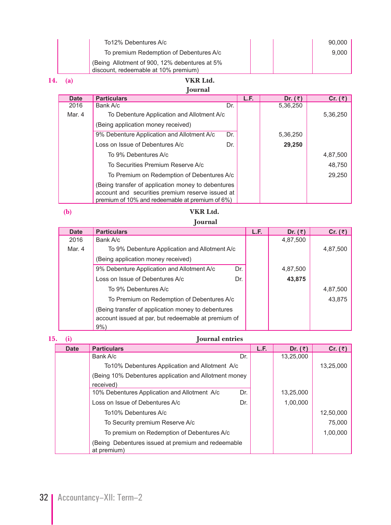| To12% Debentures A/c                                                                   | 90,000 |
|----------------------------------------------------------------------------------------|--------|
| To premium Redemption of Debentures A/c                                                | 9.000  |
| (Being Allotment of 900, 12% debentures at 5%)<br>discount, redeemable at 10% premium) |        |

# **14. (a) VKR Ltd.**

# **Journal**

| <b>Date</b> | <b>Particulars</b>                                 |     | L.F. | Dr. $(\bar{z})$ | Cr. $(3)$ |
|-------------|----------------------------------------------------|-----|------|-----------------|-----------|
| 2016        | Bank A/c                                           | Dr. |      | 5,36,250        |           |
| Mar. 4      | To Debenture Application and Allotment A/c         |     |      |                 | 5,36,250  |
|             | (Being application money received)                 |     |      |                 |           |
|             | 9% Debenture Application and Allotment A/c         | Dr. |      | 5,36,250        |           |
|             | Loss on Issue of Debentures A/c                    | Dr. |      | 29,250          |           |
|             | To 9% Debentures A/c                               |     |      |                 | 4,87,500  |
|             | To Securities Premium Reserve A/c                  |     |      |                 | 48,750    |
|             | To Premium on Redemption of Debentures A/c         |     |      |                 | 29,250    |
|             | (Being transfer of application money to debentures |     |      |                 |           |
|             | account and securities premium reserve issued at   |     |      |                 |           |
|             | premium of 10% and redeemable at premium of 6%)    |     |      |                 |           |

# **(b) VKR Ltd.**

### **Journal**

| <b>Date</b> | <b>Particulars</b>                                  | L.F. | Dr. $(3)$ | Cr. $(\bar{z})$ |
|-------------|-----------------------------------------------------|------|-----------|-----------------|
| 2016        | Bank A/c                                            |      | 4,87,500  |                 |
| Mar. 4      | To 9% Debenture Application and Allotment A/c       |      |           | 4,87,500        |
|             | (Being application money received)                  |      |           |                 |
|             | 9% Debenture Application and Allotment A/c<br>Dr.   |      | 4,87,500  |                 |
|             | Loss on Issue of Debentures A/c<br>Dr.              |      | 43,875    |                 |
|             | To 9% Debentures A/c                                |      |           | 4,87,500        |
|             | To Premium on Redemption of Debentures A/c          |      |           | 43,875          |
|             | (Being transfer of application money to debentures  |      |           |                 |
|             | account issued at par, but redeemable at premium of |      |           |                 |
|             | 9%                                                  |      |           |                 |

| 15. |             | <b>Journal</b> entries                                            |     |      |           |           |
|-----|-------------|-------------------------------------------------------------------|-----|------|-----------|-----------|
|     | <b>Date</b> | <b>Particulars</b>                                                |     | L.F. | Dr. $($ ₹ | Cr. $(3)$ |
|     |             | Bank A/c                                                          | Dr. |      | 13,25,000 |           |
|     |             | To 10% Debentures Application and Allotment A/c                   |     |      |           | 13,25,000 |
|     |             | (Being 10% Debentures application and Allotment money             |     |      |           |           |
|     |             | received)                                                         |     |      |           |           |
|     |             | 10% Debentures Application and Allotment A/c                      | Dr. |      | 13,25,000 |           |
|     |             | Loss on Issue of Debentures A/c                                   | Dr. |      | 1,00,000  |           |
|     |             | To 10% Debentures A/c                                             |     |      |           | 12,50,000 |
|     |             | To Security premium Reserve A/c                                   |     |      |           | 75,000    |
|     |             | To premium on Redemption of Debentures A/c                        |     |      |           | 1,00,000  |
|     |             | (Being Debentures issued at premium and redeemable<br>at premium) |     |      |           |           |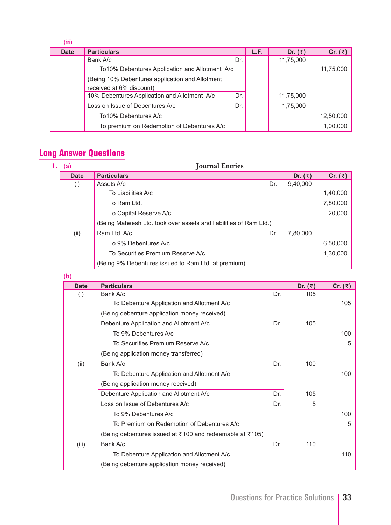| (ii)        |                                                 |     |      |           |                 |
|-------------|-------------------------------------------------|-----|------|-----------|-----------------|
| <b>Date</b> | <b>Particulars</b>                              |     | L.F. | Dr. $(3)$ | Cr. $(\bar{z})$ |
|             | Bank A/c                                        | Dr. |      | 11,75,000 |                 |
|             | To 10% Debentures Application and Allotment A/c |     |      |           | 11,75,000       |
|             | (Being 10% Debentures application and Allotment |     |      |           |                 |
|             | received at 6% discount)                        |     |      |           |                 |
|             | 10% Debentures Application and Allotment A/c    | Dr. |      | 11,75,000 |                 |
|             | Loss on Issue of Debentures A/c                 | Dr. |      | 1,75,000  |                 |
|             | To 10% Debentures A/c                           |     |      |           | 12,50,000       |
|             | To premium on Redemption of Debentures A/c      |     |      |           | 1,00,000        |

# Long Answer Questions

| 1. | (a)         | <b>Journal Entries</b>                                            |                 |           |
|----|-------------|-------------------------------------------------------------------|-----------------|-----------|
|    | <b>Date</b> | <b>Particulars</b>                                                | Dr. $(\bar{z})$ | Cr. $(3)$ |
|    | (i)         | Dr.<br>Assets A/c                                                 | 9,40,000        |           |
|    |             | To Liabilities A/c                                                |                 | 1,40,000  |
|    |             | To Ram Ltd.                                                       |                 | 7,80,000  |
|    |             | To Capital Reserve A/c                                            |                 | 20,000    |
|    |             | (Being Maheesh Ltd. took over assets and liabilities of Ram Ltd.) |                 |           |
|    | (ii)        | Dr.<br>Ram Ltd, A/c                                               | 7,80,000        |           |
|    |             | To 9% Debentures A/c                                              |                 | 6,50,000  |
|    |             | To Securities Premium Reserve A/c                                 |                 | 1,30,000  |
|    |             | (Being 9% Debentures issued to Ram Ltd. at premium)               |                 |           |

#### **(b)**

| <b>Date</b> | <b>Particulars</b>                                       |     | Dr. $(3)$ | Cr. $(3)$ |
|-------------|----------------------------------------------------------|-----|-----------|-----------|
| (i)         | Bank A/c                                                 | Dr. | 105       |           |
|             | To Debenture Application and Allotment A/c               |     |           | 105       |
|             | (Being debenture application money received)             |     |           |           |
|             | Debenture Application and Allotment A/c                  | Dr. | 105       |           |
|             | To 9% Debentures A/c                                     |     |           | 100       |
|             | To Securities Premium Reserve A/c                        |     |           | 5         |
|             | (Being application money transferred)                    |     |           |           |
| (ii)        | Bank A/c                                                 | Dr. | 100       |           |
|             | To Debenture Application and Allotment A/c               |     |           | 100       |
|             | (Being application money received)                       |     |           |           |
|             | Debenture Application and Allotment A/c                  | Dr. | 105       |           |
|             | Loss on Issue of Debentures A/c                          | Dr. | 5         |           |
|             | To 9% Debentures A/c                                     |     |           | 100       |
|             | To Premium on Redemption of Debentures A/c               |     |           | 5         |
|             | (Being debentures issued at ₹100 and redeemable at ₹105) |     |           |           |
| (iii)       | Bank A/c                                                 | Dr. | 110       |           |
|             | To Debenture Application and Allotment A/c               |     |           | 110       |
|             | (Being debenture application money received)             |     |           |           |
|             |                                                          |     |           |           |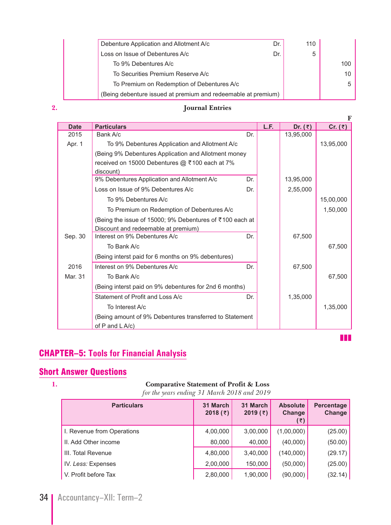| Debenture Application and Allotment A/c<br>Dr.                | 110 |     |
|---------------------------------------------------------------|-----|-----|
| Loss on Issue of Debentures A/c<br>Dr.                        | 5   |     |
| To 9% Debentures A/c                                          |     | 100 |
| To Securities Premium Reserve A/c                             |     | 10  |
| To Premium on Redemption of Debentures A/c                    |     | 5   |
| (Being debenture issued at premium and redeemable at premium) |     |     |

# **2. Journal Entries**

| <b>Date</b> | <b>Particulars</b>                                       |     | L.F. | Dr. $(3)$ | Cr. $(\bar{z})$ |
|-------------|----------------------------------------------------------|-----|------|-----------|-----------------|
| 2015        | Bank A/c                                                 | Dr. |      | 13,95,000 |                 |
| Apr. 1      | To 9% Debentures Application and Allotment A/c           |     |      |           | 13,95,000       |
|             | (Being 9% Debentures Application and Allotment money     |     |      |           |                 |
|             | received on 15000 Debentures @ ₹100 each at 7%           |     |      |           |                 |
|             | discount)                                                |     |      |           |                 |
|             | 9% Debentures Application and Allotment A/c              | Dr. |      | 13,95,000 |                 |
|             | Loss on Issue of 9% Debentures A/c                       | Dr. |      | 2,55,000  |                 |
|             | To 9% Debentures A/c                                     |     |      |           | 15,00,000       |
|             | To Premium on Redemption of Debentures A/c               |     |      |           | 1,50,000        |
|             | (Being the issue of 15000; 9% Debentures of ₹100 each at |     |      |           |                 |
|             | Discount and redeemable at premium)                      |     |      |           |                 |
| Sep. 30     | Interest on 9% Debentures A/c                            | Dr. |      | 67,500    |                 |
|             | To Bank A/c                                              |     |      |           | 67,500          |
|             | (Being interst paid for 6 months on 9% debentures)       |     |      |           |                 |
| 2016        | Interest on 9% Debentures A/c                            | Dr. |      | 67,500    |                 |
| Mar. 31     | To Bank A/c                                              |     |      |           | 67,500          |
|             | (Being interst paid on 9% debentures for 2nd 6 months)   |     |      |           |                 |
|             | Statement of Profit and Loss A/c                         | Dr. |      | 1,35,000  |                 |
|             | To Interest A/c                                          |     |      |           | 1,35,000        |
|             | (Being amount of 9% Debentures transferred to Statement  |     |      |           |                 |
|             | of $P$ and $L$ A/c)                                      |     |      |           |                 |

zzz

# CHAPTER–5: **Tools for Financial Analysis**

# Short Answer Questions

#### **1. Comparative Statement of Profit & Loss**

*for the years ending 31 March 2018 and 2019*

| <b>Particulars</b>         | 31 March<br>2018 $(3)$ | 31 March<br>2019 $(3)$ | <b>Absolute</b><br>Change<br>(₹) | Percentage<br>Change |
|----------------------------|------------------------|------------------------|----------------------------------|----------------------|
| I. Revenue from Operations | 4,00,000               | 3,00,000               | (1,00,000)                       | (25.00)              |
| II. Add Other income       | 80,000                 | 40,000                 | (40,000)                         | (50.00)              |
| III. Total Revenue         | 4,80,000               | 3,40,000               | (140,000)                        | (29.17)              |
| IV. Less: Expenses         | 2,00,000               | 150,000                | (50,000)                         | (25.00)              |
| V. Profit before Tax       | 2,80,000               | 1,90,000               | (90,000)                         | (32.14)              |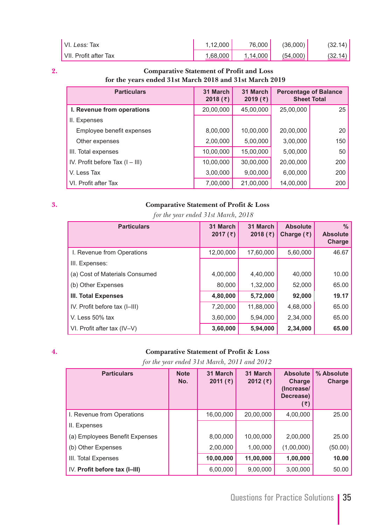| VI. Less: Tax         | 1.12.000 | 76,000   | (36.000) | (32.14)   |
|-----------------------|----------|----------|----------|-----------|
| VII. Profit after Tax | 1.68.000 | 1.14.000 | (54.000) | (32.14) l |

#### **2. Comparative Statement of Profit and Loss for the years ended 31st March 2018 and 31st March 2019**

| <b>Particulars</b>                | 31 March<br>2018 $($ ₹) | 31 March<br>2019 $(3)$ | <b>Percentage of Balance</b><br><b>Sheet Total</b> |     |
|-----------------------------------|-------------------------|------------------------|----------------------------------------------------|-----|
| I. Revenue from operations        | 20,00,000               | 45,00,000              | 25,00,000                                          | 25  |
| II. Expenses                      |                         |                        |                                                    |     |
| Employee benefit expenses         | 8,00,000                | 10,00,000              | 20,00,000                                          | 20  |
| Other expenses                    | 2,00,000                | 5,00,000               | 3,00,000                                           | 150 |
| III. Total expenses               | 10,00,000               | 15,00,000              | 5,00,000                                           | 50  |
| IV. Profit before Tax $(I - III)$ | 10,00,000               | 30,00,000              | 20,00,000                                          | 200 |
| V. Less Tax                       | 3,00,000                | 9,00,000               | 6,00,000                                           | 200 |
| VI. Profit after Tax              | 7,00,000                | 21,00,000              | 14,00,000                                          | 200 |

### **3. Comparative Statement of Profit & Loss**

 *for the year ended 31st March, 2018*

| <b>Particulars</b>             | 31 March<br>2017 $(\bar{z})$ | 31 March<br>2018 $({\bar z})$ | <b>Absolute</b><br>Charge $(\bar{z})$ | $\%$<br><b>Absolute</b><br>Charge |
|--------------------------------|------------------------------|-------------------------------|---------------------------------------|-----------------------------------|
| I. Revenue from Operations     | 12,00,000                    | 17,60,000                     | 5,60,000                              | 46.67                             |
| III. Expenses:                 |                              |                               |                                       |                                   |
| (a) Cost of Materials Consumed | 4,00,000                     | 4,40,000                      | 40,000                                | 10.00                             |
| (b) Other Expenses             | 80,000                       | 1,32,000                      | 52,000                                | 65.00                             |
| III. Total Expenses            | 4,80,000                     | 5,72,000                      | 92,000                                | 19.17                             |
| IV. Profit before tax (I-III)  | 7,20,000                     | 11,88,000                     | 4,68,000                              | 65.00                             |
| V. Less 50% tax                | 3,60,000                     | 5,94,000                      | 2,34,000                              | 65.00                             |
| VI. Profit after tax (IV–V)    | 3,60,000                     | 5,94,000                      | 2,34,000                              | 65.00                             |

### **4. Comparative Statement of Profit & Loss**

 *for the year ended 31st March, 2011 and 2012*

| <b>Particulars</b>             | <b>Note</b><br>No. | 31 March<br>2011 $($ ₹) | 31 March<br>2012 $(3)$ | <b>Absolute</b><br><b>Charge</b><br>(Increase/<br>Decrease)<br>(₹) | % Absolute<br>Charge |
|--------------------------------|--------------------|-------------------------|------------------------|--------------------------------------------------------------------|----------------------|
| I. Revenue from Operations     |                    | 16,00,000               | 20,00,000              | 4,00,000                                                           | 25.00                |
| II. Expenses                   |                    |                         |                        |                                                                    |                      |
| (a) Employees Benefit Expenses |                    | 8,00,000                | 10,00,000              | 2,00,000                                                           | 25.00                |
| (b) Other Expenses             |                    | 2,00,000                | 1,00,000               | (1,00,000)                                                         | (50.00)              |
| III. Total Expenses            |                    | 10,00,000               | 11,00,000              | 1,00,000                                                           | 10.00                |
| IV. Profit before tax (I-III)  |                    | 6,00,000                | 9,00,000               | 3,00,000                                                           | 50.00                |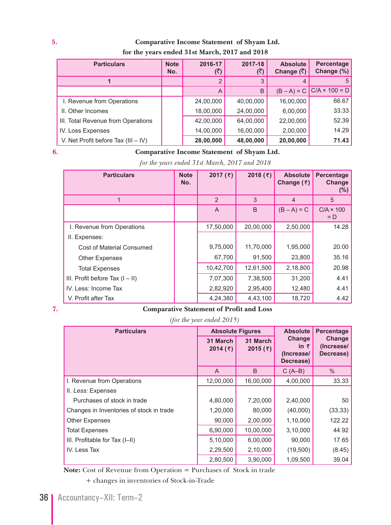### **5. Comparative Income Statement of Shyam Ltd. for the years ended 31st March, 2017 and 2018**

| <b>Particulars</b>                    | <b>Note</b><br>No. | 2016-17   | 2017-18<br>(₹) | <b>Absolute</b><br>Change $(\bar{\zeta})$ | Percentage<br>Change (%)           |
|---------------------------------------|--------------------|-----------|----------------|-------------------------------------------|------------------------------------|
|                                       |                    |           | 3              |                                           |                                    |
|                                       |                    | A         | B              |                                           | $(B - A) = C   C/A \times 100 = D$ |
| I. Revenue from Operations            |                    | 24,00,000 | 40,00,000      | 16,00,000                                 | 66.67                              |
| II. Other Incomes                     |                    | 18,00,000 | 24,00,000      | 6,00,000                                  | 33.33                              |
| III. Total Revenue from Operations    |                    | 42,00,000 | 64,00,000      | 22,00,000                                 | 52.39                              |
| IV. Loss Expenses                     |                    | 14,00,000 | 16,00,000      | 2,00,000                                  | 14.29                              |
| V. Net Profit before Tax $(III - IV)$ |                    | 28,00,000 | 48,00,000      | 20,00,000                                 | 71.43                              |

### **6. Comparative Income Statement of Shyam Ltd.**

 *for the years ended 31st March, 2017 and 2018*

| <b>Particulars</b>                | <b>Note</b><br>No. | 2017 $(\bar{z})$ | 2018(₹)   | <b>Absolute</b><br>Change $(3)$ | Percentage<br>Change<br>$(\%)$ |
|-----------------------------------|--------------------|------------------|-----------|---------------------------------|--------------------------------|
|                                   |                    | $\overline{2}$   | 3         | $\overline{4}$                  | 5                              |
|                                   |                    | A                | B         | $(B - A) = C$                   | $C/A \times 100$<br>$= D$      |
| I. Revenue from Operations        |                    | 17,50,000        | 20,00,000 | 2,50,000                        | 14.28                          |
| II. Expenses:                     |                    |                  |           |                                 |                                |
| <b>Cost of Material Consumed</b>  |                    | 9,75,000         | 11,70,000 | 1,95,000                        | 20.00                          |
| <b>Other Expenses</b>             |                    | 67,700           | 91,500    | 23,800                          | 35.16                          |
| <b>Total Expenses</b>             |                    | 10,42,700        | 12,61,500 | 2,18,800                        | 20.98                          |
| III. Profit before Tax $(I - II)$ |                    | 7,07,300         | 7,38,500  | 31,200                          | 4.41                           |
| IV. Less: Income Tax              |                    | 2,82,920         | 2,95,400  | 12,480                          | 4.41                           |
| V. Profit after Tax               |                    | 4,24,380         | 4,43,100  | 18,720                          | 4.42                           |

#### **7. Comparative Statement of Profit and Loss**

 *(for the year ended 2015)*

| <b>Particulars</b>                       | <b>Absolute Figures</b> |                        | <b>Absolute</b>                                          | Percentage                        |
|------------------------------------------|-------------------------|------------------------|----------------------------------------------------------|-----------------------------------|
|                                          | 31 March<br>2014(7)     | 31 March<br>2015 $(5)$ | <b>Change</b><br>in $\bar{z}$<br>(Increase/<br>Decrease) | Change<br>(Increase/<br>Decrease) |
|                                          | A                       | B                      | $C(A-B)$                                                 | $\%$                              |
| I. Revenue from Operations               | 12,00,000               | 16,00,000              | 4,00,000                                                 | 33.33                             |
| II. Less: Expenses                       |                         |                        |                                                          |                                   |
| Purchases of stock in trade              | 4,80,000                | 7,20,000               | 2,40,000                                                 | 50                                |
| Changes in Inventories of stock in trade | 1,20,000                | 80,000                 | (40,000)                                                 | (33.33)                           |
| <b>Other Expenses</b>                    | 90,000                  | 2,00,000               | 1,10,000                                                 | 122.22                            |
| <b>Total Expenses</b>                    | 6,90,000                | 10,00,000              | 3,10,000                                                 | 44.92                             |
| III. Profitable for Tax (I-II)           | 5,10,000                | 6,00,000               | 90,000                                                   | 17.65                             |
| IV. Less Tax                             | 2,29,500                | 2,10,000               | (19,500)                                                 | (8.45)                            |
|                                          | 2,80,500                | 3,90,000               | 1,09,500                                                 | 39.04                             |

 **Note:** Cost of Revenue from Operation = Purchases of Stock in trade

+ changes in inventories of Stock-in-Trade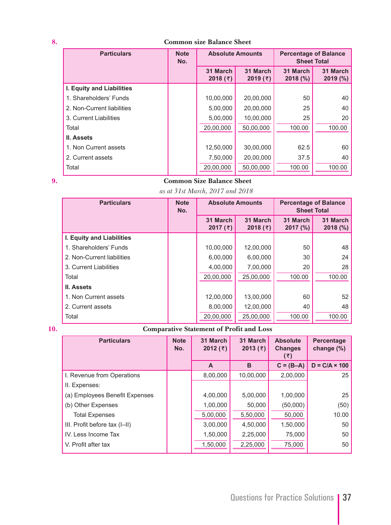#### **8. Common size Balance Sheet**

| <b>Particulars</b>         | <b>Note</b><br>No. | <b>Absolute Amounts</b>      |                        | <b>Percentage of Balance</b><br><b>Sheet Total</b> |                     |
|----------------------------|--------------------|------------------------------|------------------------|----------------------------------------------------|---------------------|
|                            |                    | 31 March<br>2018 $(\bar{z})$ | 31 March<br>2019 $(3)$ | 31 March<br>$2018$ (%)                             | 31 March<br>2019(%) |
| I. Equity and Liabilities  |                    |                              |                        |                                                    |                     |
| 1. Shareholders' Funds     |                    | 10,00,000                    | 20,00,000              | 50                                                 | 40                  |
| 2. Non-Current liabilities |                    | 5,00,000                     | 20,00,000              | 25                                                 | 40                  |
| 3. Current Liabilities     |                    | 5.00.000                     | 10.00.000              | 25                                                 | 20                  |
| Total                      |                    | 20,00,000                    | 50,00,000              | 100.00                                             | 100.00              |
| <b>II. Assets</b>          |                    |                              |                        |                                                    |                     |
| 1. Non Current assets      |                    | 12,50,000                    | 30,00,000              | 62.5                                               | 60                  |
| 2. Current assets          |                    | 7,50,000                     | 20,00,000              | 37.5                                               | 40                  |
| Total                      |                    | 20,00,000                    | 50,00,000              | 100.00                                             | 100.00              |

### **9. Common Size Balance Sheet**

*as at 31st March, 2017 and 2018*

| <b>Particulars</b>         | <b>Note</b><br>No. | <b>Absolute Amounts</b> |                        | <b>Percentage of Balance</b><br><b>Sheet Total</b> |                      |
|----------------------------|--------------------|-------------------------|------------------------|----------------------------------------------------|----------------------|
|                            |                    | 31 March<br>2017 $(3)$  | 31 March<br>2018 $(5)$ | 31 March<br>2017 (%)                               | 31 March<br>2018 (%) |
| I. Equity and Liabilities  |                    |                         |                        |                                                    |                      |
| 1. Shareholders' Funds     |                    | 10,00,000               | 12,00,000              | 50                                                 | 48                   |
| 2. Non-Current liabilities |                    | 6,00,000                | 6,00,000               | 30                                                 | 24                   |
| 3. Current Liabilities     |                    | 4.00.000                | 7.00.000               | 20                                                 | 28                   |
| Total                      |                    | 20,00,000               | 25,00,000              | 100.00                                             | 100.00               |
| <b>II. Assets</b>          |                    |                         |                        |                                                    |                      |
| 1. Non Current assets      |                    | 12,00,000               | 13,00,000              | 60                                                 | 52                   |
| 2. Current assets          |                    | 8,00,000                | 12,00,000              | 40                                                 | 48                   |
| Total                      |                    | 20,00,000               | 25,00,000              | 100.00                                             | 100.00               |

### **10. Comparative Statement of Profit and Loss**

| <b>Particulars</b>             | <b>Note</b><br>No. | 31 March<br>2012 $(3)$ | 31 March<br>2013 $($ ₹) | <b>Absolute</b><br><b>Changes</b><br>(₹) | Percentage<br>change (%) |
|--------------------------------|--------------------|------------------------|-------------------------|------------------------------------------|--------------------------|
|                                |                    | A                      | B                       | $C = (B-A)$                              | $D = C/A \times 100$     |
| I. Revenue from Operations     |                    | 8,00,000               | 10,00,000               | 2,00,000                                 | 25                       |
| II. Expenses:                  |                    |                        |                         |                                          |                          |
| (a) Employees Benefit Expenses |                    | 4,00,000               | 5,00,000                | 1,00,000                                 | 25                       |
| (b) Other Expenses             |                    | 1,00,000               | 50,000                  | (50,000)                                 | (50)                     |
| <b>Total Expenses</b>          |                    | 5,00,000               | 5,50,000                | 50,000                                   | 10.00                    |
| III. Profit before tax (I-II)  |                    | 3,00,000               | 4,50,000                | 1,50,000                                 | 50                       |
| IV. Less Income Tax            |                    | 1,50,000               | 2,25,000                | 75,000                                   | 50                       |
| V. Profit after tax            |                    | 1,50,000               | 2,25,000                | 75,000                                   | 50                       |
|                                |                    |                        |                         |                                          |                          |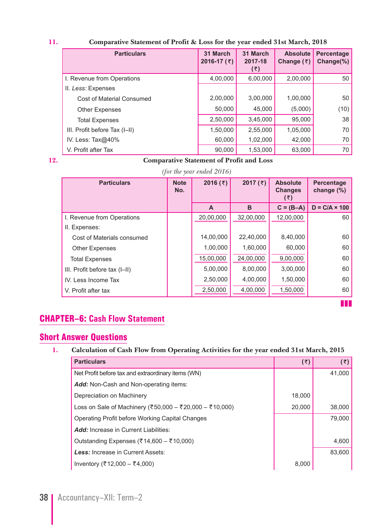#### **11. Comparative Statement of Profit & Loss for the year ended 31st March, 2018**

| <b>Particulars</b>               | 31 March<br>2016-17 $($ ₹) | 31 March<br>2017-18<br>(₹) | <b>Absolute</b><br>Change $(\bar{z})$ | Percentage<br>Change $(\%)$ |
|----------------------------------|----------------------------|----------------------------|---------------------------------------|-----------------------------|
| I. Revenue from Operations       | 4,00,000                   | 6,00,000                   | 2,00,000                              | 50                          |
| II. Less: Expenses               |                            |                            |                                       |                             |
| <b>Cost of Material Consumed</b> | 2,00,000                   | 3,00,000                   | 1,00,000                              | 50                          |
| <b>Other Expenses</b>            | 50,000                     | 45,000                     | (5,000)                               | (10)                        |
| <b>Total Expenses</b>            | 2,50,000                   | 3,45,000                   | 95,000                                | 38                          |
| III. Profit before Tax (I-II)    | 1,50,000                   | 2,55,000                   | 1,05,000                              | 70                          |
| IV. Less: $Tax@40\%$             | 60,000                     | 1,02,000                   | 42,000                                | 70                          |
| V. Profit after Tax              | 90,000                     | 1,53,000                   | 63,000                                | 70                          |

#### **12. Comparative Statement of Profit and Loss**

 *(for the year ended 2016)*

| <b>Particulars</b>            | <b>Note</b><br>No. | 2016 $(3)$ | 2017 $(\bar{z})$ | <b>Absolute</b><br><b>Changes</b><br>(₹) | <b>Percentage</b><br>change $(\%)$ |
|-------------------------------|--------------------|------------|------------------|------------------------------------------|------------------------------------|
|                               |                    | A          | B                | $C = (B-A)$                              | $D = C/A \times 100$               |
| I. Revenue from Operations    |                    | 20,00,000  | 32,00,000        | 12,00,000                                | 60                                 |
| II. Expenses:                 |                    |            |                  |                                          |                                    |
| Cost of Materials consumed    |                    | 14,00,000  | 22,40,000        | 8,40,000                                 | 60                                 |
| <b>Other Expenses</b>         |                    | 1,00,000   | 1.60.000         | 60,000                                   | 60                                 |
| <b>Total Expenses</b>         |                    | 15,00,000  | 24,00,000        | 9,00,000                                 | 60                                 |
| III. Profit before tax (I-II) |                    | 5,00,000   | 8,00,000         | 3,00,000                                 | 60                                 |
| IV. Less Income Tax           |                    | 2,50,000   | 4,00,000         | 1,50,000                                 | 60                                 |
| V. Profit after tax           |                    | 2,50,000   | 4,00,000         | 1,50,000                                 | 60                                 |

**z** 

# CHAPTER–6: **Cash Flow Statement**

# Short Answer Questions

#### **1. Calculation of Cash Flow from Operating Activities for the year ended 31st March, 2015**

| <b>Particulars</b>                                      | (5)    | (5)    |
|---------------------------------------------------------|--------|--------|
| Net Profit before tax and extraordinary items (WN)      |        | 41,000 |
| <b>Add:</b> Non-Cash and Non-operating items:           |        |        |
| Depreciation on Machinery                               | 18,000 |        |
| Loss on Sale of Machinery (₹50,000 – ₹20,000 – ₹10,000) | 20,000 | 38,000 |
| Operating Profit before Working Capital Changes         |        | 79.000 |
| <b>Add:</b> Increase in Current Liabilities:            |        |        |
| Outstanding Expenses (₹14,600 – ₹10,000)                |        | 4,600  |
| Less: Increase in Current Assets:                       |        | 83.600 |
| Inventory (₹12,000 – ₹4,000)                            | 8,000  |        |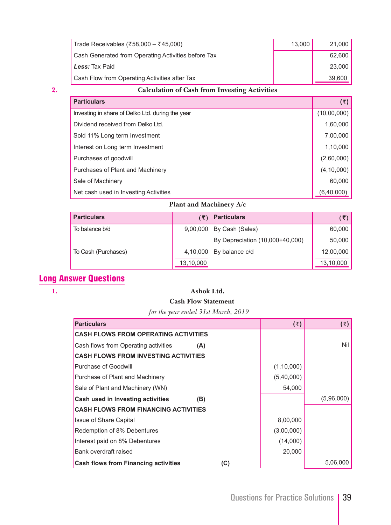| Trade Receivables (₹58,000 - ₹45,000)               | 13.000 | 21,000 |
|-----------------------------------------------------|--------|--------|
| Cash Generated from Operating Activities before Tax |        | 62.600 |
| Less: Tax Paid                                      |        | 23,000 |
| Cash Flow from Operating Activities after Tax       |        | 39,600 |

# **2. Calculation of Cash from Investing Activities**

| <b>Particulars</b>                               | $(\overline{\tau})$ |
|--------------------------------------------------|---------------------|
| Investing in share of Delko Ltd. during the year | (10,00,000)         |
| Dividend received from Delko Ltd.                | 1,60,000            |
| Sold 11% Long term Investment                    | 7,00,000            |
| Interest on Long term Investment                 | 1,10,000            |
| Purchases of goodwill                            | (2,60,000)          |
| Purchases of Plant and Machinery                 | (4, 10, 000)        |
| Sale of Machinery                                | 60,000              |
| Net cash used in Investing Activities            | (6,40,000)          |

### **Plant and Machinery A/c**

| <b>Particulars</b>  |           | <b>Particulars</b>              | (₹)       |
|---------------------|-----------|---------------------------------|-----------|
| To balance b/d      |           | 9,00,000   By Cash (Sales)      | 60,000    |
|                     |           | By Depreciation (10,000+40,000) | 50,000    |
| To Cash (Purchases) | 4,10,000  | By balance c/d                  | 12,00,000 |
|                     | 13,10,000 |                                 | 13,10,000 |

# Long Answer Questions

# **1. Ashok Ltd.**

# **Cash Flow Statement**

 *for the year ended 31st March, 2019*

| <b>Particulars</b>                                 | (5)          | (5)        |
|----------------------------------------------------|--------------|------------|
| <b>CASH FLOWS FROM OPERATING ACTIVITIES</b>        |              |            |
| Cash flows from Operating activities<br>(A)        |              | Nil        |
| <b>CASH FLOWS FROM INVESTING ACTIVITIES</b>        |              |            |
| Purchase of Goodwill                               | (1, 10, 000) |            |
| <b>Purchase of Plant and Machinery</b>             | (5,40,000)   |            |
| Sale of Plant and Machinery (WN)                   | 54,000       |            |
| <b>Cash used in Investing activities</b><br>(B)    |              | (5,96,000) |
| <b>CASH FLOWS FROM FINANCING ACTIVITIES</b>        |              |            |
| <b>Issue of Share Capital</b>                      | 8,00,000     |            |
| Redemption of 8% Debentures                        | (3,00,000)   |            |
| Interest paid on 8% Debentures                     | (14,000)     |            |
| Bank overdraft raised                              | 20,000       |            |
| <b>Cash flows from Financing activities</b><br>(C) |              | 5,06,000   |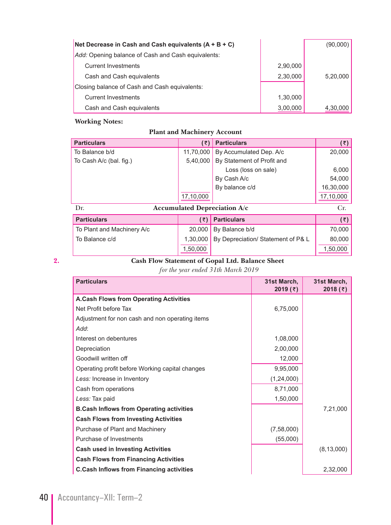| Net Decrease in Cash and Cash equivalents $(A + B + C)$ |          | (90,000) |
|---------------------------------------------------------|----------|----------|
| Add: Opening balance of Cash and Cash equivalents:      |          |          |
| <b>Current Investments</b>                              | 2,90,000 |          |
| Cash and Cash equivalents                               | 2,30,000 | 5,20,000 |
| Closing balance of Cash and Cash equivalents:           |          |          |
| <b>Current Investments</b>                              | 1,30,000 |          |
| Cash and Cash equivalents                               | 3,00,000 | 4,30,000 |

# **Plant and Machinery Account**

| <b>Particulars</b>      |                                     | $(\bar{z})$ Particulars    | (5)       |
|-------------------------|-------------------------------------|----------------------------|-----------|
| To Balance b/d          | 11,70,000                           | By Accumulated Dep. A/c    | 20,000    |
| To Cash A/c (bal. fig.) | 5,40,000                            | By Statement of Profit and |           |
|                         |                                     | Loss (loss on sale)        | 6,000     |
|                         |                                     | By Cash A/c                | 54,000    |
|                         |                                     | By balance c/d             | 16,30,000 |
|                         | 17,10,000                           |                            | 17,10,000 |
| Dr.                     | <b>Accumulated Depreciation A/c</b> |                            | Cr.       |

| <b>Particulars</b>         |          | $(\bar{z})$ Particulars                       | (そ)      |
|----------------------------|----------|-----------------------------------------------|----------|
| To Plant and Machinery A/c |          | 20,000 By Balance $b/d$                       | 70,000   |
| To Balance c/d             |          | 1,30,000   By Depreciation/ Statement of P& L | 80,000   |
|                            | 1,50,000 |                                               | 1,50,000 |

# **2. Cash Flow Statement of Gopal Ltd. Balance Sheet**

 *for the year ended 31th March 2019*

| <b>Particulars</b>                              | 31st March,<br>2019 $(3)$ | 31st March,<br>2018(7) |
|-------------------------------------------------|---------------------------|------------------------|
| <b>A.Cash Flows from Operating Activities</b>   |                           |                        |
| Net Profit before Tax                           | 6,75,000                  |                        |
| Adjustment for non cash and non operating items |                           |                        |
| Add:                                            |                           |                        |
| Interest on debentures                          | 1,08,000                  |                        |
| Depreciation                                    | 2,00,000                  |                        |
| Goodwill written off                            | 12,000                    |                        |
| Operating profit before Working capital changes | 9,95,000                  |                        |
| Less: Increase in Inventory                     | (1, 24, 000)              |                        |
| Cash from operations                            | 8,71,000                  |                        |
| Less: Tax paid                                  | 1,50,000                  |                        |
| <b>B.Cash Inflows from Operating activities</b> |                           | 7,21,000               |
| <b>Cash Flows from Investing Activities</b>     |                           |                        |
| Purchase of Plant and Machinery                 | (7,58,000)                |                        |
| Purchase of Investments                         | (55,000)                  |                        |
| <b>Cash used in Investing Activities</b>        |                           | (8, 13, 000)           |
| <b>Cash Flows from Financing Activities</b>     |                           |                        |
| <b>C.Cash Inflows from Financing activities</b> |                           | 2,32,000               |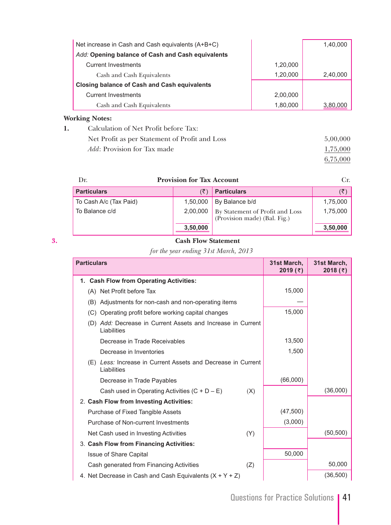| Net increase in Cash and Cash equivalents (A+B+C)   |          | 1,40,000 |
|-----------------------------------------------------|----------|----------|
| Add: Opening balance of Cash and Cash equivalents   |          |          |
| <b>Current Investments</b>                          | 1,20,000 |          |
| Cash and Cash Equivalents                           | 1,20,000 | 2,40,000 |
| <b>Closing balance of Cash and Cash equivalents</b> |          |          |
| <b>Current Investments</b>                          | 2,00,000 |          |
| Cash and Cash Equivalents                           | 1,80,000 | 3,80,000 |
| <b>Working Notes:</b>                               |          |          |

| Calculation of Net Profit before Tax:          |          |
|------------------------------------------------|----------|
| Net Profit as per Statement of Profit and Loss | 5,00,000 |
| <i>Add</i> : Provision for Tax made            | 1,75,000 |
|                                                | 6.75.000 |

| Dr.                    | <b>Provision for Tax Account</b> |                                                                 | $C_{\Gamma}$ |
|------------------------|----------------------------------|-----------------------------------------------------------------|--------------|
| <b>Particulars</b>     |                                  | <b>Particulars</b>                                              | (₹           |
| To Cash A/c (Tax Paid) | 1,50,000                         | By Balance b/d                                                  | 1,75,000     |
| To Balance c/d         | 2,00,000                         | By Statement of Profit and Loss<br>(Provision made) (Bal. Fig.) | 1,75,000     |
|                        | 3,50,000                         |                                                                 | 3,50,000     |

# **3. Cash Flow Statement**

 *for the year ending 31st March, 2013*

| <b>Particulars</b>                                                          | 31st March,<br>2019(7) | 31st March,<br>2018 $(5)$ |
|-----------------------------------------------------------------------------|------------------------|---------------------------|
| 1. Cash Flow from Operating Activities:                                     |                        |                           |
| (A) Net Profit before Tax                                                   | 15,000                 |                           |
| (B) Adjustments for non-cash and non-operating items                        |                        |                           |
| (C) Operating profit before working capital changes                         | 15,000                 |                           |
| (D) Add: Decrease in Current Assets and Increase in Current<br>Liabilities  |                        |                           |
| Decrease in Trade Receivables                                               | 13,500                 |                           |
| Decrease in Inventories                                                     | 1,500                  |                           |
| (E) Less: Increase in Current Assets and Decrease in Current<br>Liabilities |                        |                           |
| Decrease in Trade Payables                                                  | (66,000)               |                           |
| Cash used in Operating Activities $(C + D - E)$<br>(X)                      |                        | (36,000)                  |
| 2. Cash Flow from Investing Activities:                                     |                        |                           |
| Purchase of Fixed Tangible Assets                                           | (47, 500)              |                           |
| Purchase of Non-current Investments                                         | (3,000)                |                           |
| Net Cash used in Investing Activities<br>(Y)                                |                        | (50, 500)                 |
| 3. Cash Flow from Financing Activities:                                     |                        |                           |
| <b>Issue of Share Capital</b>                                               | 50,000                 |                           |
| Cash generated from Financing Activities<br>(Z)                             |                        | 50,000                    |
| 4. Net Decrease in Cash and Cash Equivalents $(X + Y + Z)$                  |                        | (36, 500)                 |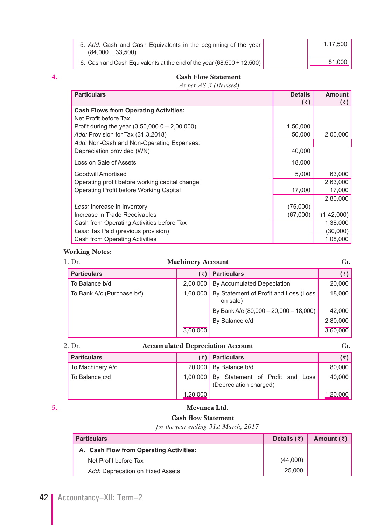| 5. Add: Cash and Cash Equivalents in the beginning of the year<br>$(84.000 + 33.500)$ | 1.17.500 |
|---------------------------------------------------------------------------------------|----------|
| 6. Cash and Cash Equivalents at the end of the year (68,500 + 12,500)                 | 81.000   |

#### **4. Cash Flow Statement**

 *As per AS-3 (Revised)*

| <b>Particulars</b>                              | <b>Details</b> | Amount     |
|-------------------------------------------------|----------------|------------|
|                                                 | (₹)            | (₹)        |
| <b>Cash Flows from Operating Activities:</b>    |                |            |
| Net Profit before Tax                           |                |            |
| Profit during the year $(3,50,0000 - 2,00,000)$ | 1,50,000       |            |
| Add: Provision for Tax (31.3.2018)              | 50,000         | 2,00,000   |
| Add: Non-Cash and Non-Operating Expenses:       |                |            |
| Depreciation provided (WN)                      | 40,000         |            |
| Loss on Sale of Assets                          | 18,000         |            |
| Goodwill Amortised                              | 5,000          | 63,000     |
| Operating profit before working capital change  |                | 2,63,000   |
| Operating Profit before Working Capital         | 17,000         | 17,000     |
|                                                 |                | 2,80,000   |
| Less: Increase in Inventory                     | (75,000)       |            |
| Increase in Trade Receivables                   | (67,000)       | (1,42,000) |
| Cash from Operating Activities before Tax       |                | 1,38,000   |
| Less: Tax Paid (previous provision)             |                | (30,000)   |
| Cash from Operating Activities                  |                | 1,08,000   |

### **Working Notes:**

| 1. Dr. |                            | <b>Machinery Account</b> | Cr.                                               |          |
|--------|----------------------------|--------------------------|---------------------------------------------------|----------|
|        | <b>Particulars</b>         | (₹)                      | <b>Particulars</b>                                | (₹)∣     |
|        | To Balance b/d             | 2,00,000                 | By Accumulated Depeciation                        | 20,000   |
|        | To Bank A/c (Purchase b/f) | 1.60.000                 | By Statement of Profit and Loss (Loss<br>on sale) | 18,000   |
|        |                            |                          | By Bank A/c $(80,000 - 20,000 - 18,000)$          | 42,000   |
|        |                            |                          | By Balance c/d                                    | 2,80,000 |
|        |                            | 3,60,000                 |                                                   | 3,60,000 |

**Accumulated Depreciation Account** Cr.

| <b>Particulars</b> |          | $(\bar{z})$ Particulars                                            | $(\bar{z})$ |
|--------------------|----------|--------------------------------------------------------------------|-------------|
| To Machinery A/c   |          | 20,000   By Balance $b/d$                                          | 80,000      |
| To Balance c/d     |          | 1,00,000 By Statement of Profit and Loss<br>(Depreciation charged) | 40,000      |
|                    | 1,20,000 |                                                                    | 1,20,000    |

### **5. Mevanca Ltd.**

#### **Cash flow Statement**

*for the year ending 31st March, 2017*

| <b>Particulars</b>                      | Details $(\bar{z})$ | Amount $(\bar{z})$ |
|-----------------------------------------|---------------------|--------------------|
| A. Cash Flow from Operating Activities: |                     |                    |
| Net Profit before Tax                   | (44,000)            |                    |
| Add: Deprecation on Fixed Assets        | 25,000              |                    |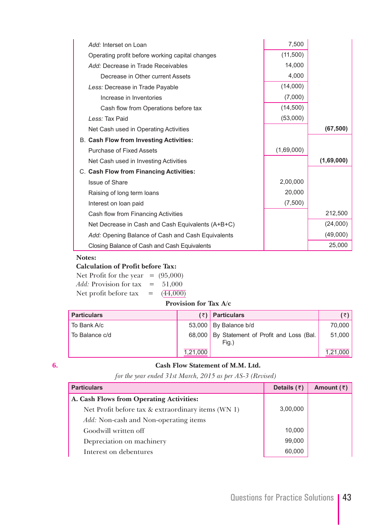| Add: Interset on Loan                             | 7,500      |            |
|---------------------------------------------------|------------|------------|
| Operating profit before working capital changes   | (11,500)   |            |
| Add: Decrease in Trade Receivables                | 14,000     |            |
| Decrease in Other current Assets                  | 4,000      |            |
| Less: Decrease in Trade Payable                   | (14,000)   |            |
| Increase in Inventories                           | (7,000)    |            |
| Cash flow from Operations before tax              | (14,500)   |            |
| Less: Tax Paid                                    | (53,000)   |            |
| Net Cash used in Operating Activities             |            | (67, 500)  |
| <b>B. Cash Flow from Investing Activities:</b>    |            |            |
| Purchase of Fixed Assets                          | (1,69,000) |            |
| Net Cash used in Investing Activities             |            | (1,69,000) |
| C. Cash Flow from Financing Activities:           |            |            |
| <b>Issue of Share</b>                             | 2,00,000   |            |
| Raising of long term loans                        | 20,000     |            |
| Interest on loan paid                             | (7,500)    |            |
| Cash flow from Financing Activities               |            | 212,500    |
| Net Decrease in Cash and Cash Equivalents (A+B+C) |            | (24,000)   |
| Add: Opening Balance of Cash and Cash Equivalents |            | (49,000)   |
| Closing Balance of Cash and Cash Equivalents      |            | 25,000     |

#### **Notes:**

#### **Calculation of Profit before Tax:**

| Net Profit for the year $= (95,000)$     |              |
|------------------------------------------|--------------|
| <i>Add:</i> Provision for tax $= 51,000$ |              |
| Net profit before tax                    | $= (44,000)$ |

#### **Provision for Tax A/c**

| <b>Particulars</b> |          | $(\bar{z})$ Particulars                               | ( ₹)     |
|--------------------|----------|-------------------------------------------------------|----------|
| To Bank A/c        |          | $53,000$ By Balance b/d                               | 70.000   |
| To Balance c/d     |          | 68,000 By Statement of Profit and Loss (Bal.<br>Fig.) | 51,000   |
|                    | 1,21,000 |                                                       | 1,21,000 |

#### **6. Cash Flow Statement of M.M. Ltd.**

*for the year ended 31st March, 2015 as per AS-3 (Revised)*

| <b>Particulars</b>                                 | Details $(3)$ | Amount $(\bar{z})$ |
|----------------------------------------------------|---------------|--------------------|
| A. Cash Flows from Operating Activities:           |               |                    |
| Net Profit before tax & extraordinary items (WN 1) | 3,00,000      |                    |
| Add: Non-cash and Non-operating items              |               |                    |
| Goodwill written off                               | 10,000        |                    |
| Depreciation on machinery                          | 99,000        |                    |
| Interest on debentures                             | 60,000        |                    |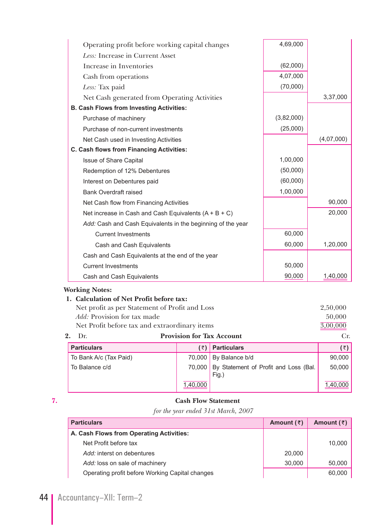| Operating profit before working capital changes             |                                            | 4,69,000   |             |
|-------------------------------------------------------------|--------------------------------------------|------------|-------------|
| Less: Increase in Current Asset                             |                                            |            |             |
| Increase in Inventories                                     |                                            | (62,000)   |             |
| Cash from operations                                        |                                            | 4,07,000   |             |
| Less: Tax paid                                              |                                            | (70,000)   |             |
| Net Cash generated from Operating Activities                |                                            |            | 3,37,000    |
| <b>B. Cash Flows from Investing Activities:</b>             |                                            |            |             |
| Purchase of machinery                                       |                                            | (3,82,000) |             |
| Purchase of non-current investments                         |                                            | (25,000)   |             |
| Net Cash used in Investing Activities                       |                                            |            | (4,07,000)  |
| C. Cash flows from Financing Activities:                    |                                            |            |             |
| <b>Issue of Share Capital</b>                               |                                            | 1,00,000   |             |
| Redemption of 12% Debentures                                |                                            | (50,000)   |             |
| Interest on Debentures paid                                 |                                            | (60,000)   |             |
| <b>Bank Overdraft raised</b>                                |                                            | 1,00,000   |             |
| Net Cash flow from Financing Activities                     |                                            |            | 90,000      |
| Net increase in Cash and Cash Equivalents $(A + B + C)$     |                                            |            | 20,000      |
| Add: Cash and Cash Equivalents in the beginning of the year |                                            |            |             |
| <b>Current Investments</b>                                  |                                            | 60,000     |             |
| Cash and Cash Equivalents                                   |                                            | 60,000     | 1,20,000    |
| Cash and Cash Equivalents at the end of the year            |                                            |            |             |
| <b>Current Investments</b>                                  |                                            | 50,000     |             |
|                                                             |                                            | 90,000     | 1,40,000    |
| Cash and Cash Equivalents<br><b>Working Notes:</b>          |                                            |            |             |
| 1. Calculation of Net Profit before tax:                    |                                            |            |             |
| Net profit as per Statement of Profit and Loss              |                                            |            | 2,50,000    |
| Add: Provision for tax made                                 |                                            |            | 50,000      |
| Net Profit before tax and extraordinary items               |                                            |            | 3,00,000    |
| 2.<br>Dr.                                                   | <b>Provision for Tax Account</b>           |            | Cr.         |
| <b>Particulars</b>                                          | <b>Particulars</b><br>$(\overline{\zeta})$ |            | $(\bar{z})$ |

| <b>Particulars</b>     | (₹)      | <b>Particulars</b>                                   | (₹)      |
|------------------------|----------|------------------------------------------------------|----------|
| To Bank A/c (Tax Paid) |          | 70,000 By Balance b/d                                | 90,000   |
| To Balance c/d         |          | 70,000 By Statement of Profit and Loss (Bal.<br>Fig. | 50,000   |
|                        | 1,40,000 |                                                      | 1,40,000 |

### **7. Cash Flow Statement**

*for the year ended 31st March, 2007*

| <b>Particulars</b>                              | Amount $(\bar{z})$ | Amount $(\bar{z})$ |
|-------------------------------------------------|--------------------|--------------------|
| A. Cash Flows from Operating Activities:        |                    |                    |
| Net Profit before tax                           |                    | 10,000             |
| Add: interst on debentures                      | 20,000             |                    |
| Add: loss on sale of machinery                  | 30,000             | 50,000             |
| Operating profit before Working Capital changes |                    | 60,000             |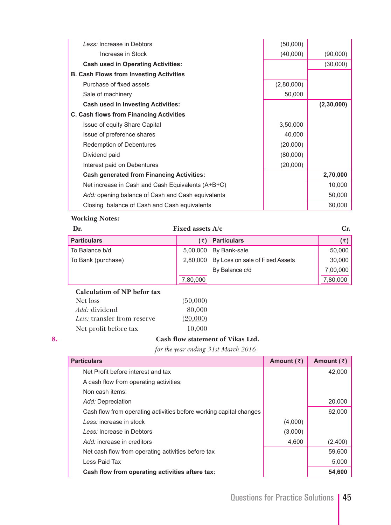| Less: Increase in Debtors                         | (50,000)   |            |
|---------------------------------------------------|------------|------------|
| Increase in Stock                                 | (40,000)   | (90,000)   |
| <b>Cash used in Operating Activities:</b>         |            | (30,000)   |
| <b>B. Cash Flows from Investing Activities</b>    |            |            |
| Purchase of fixed assets                          | (2,80,000) |            |
| Sale of machinery                                 | 50,000     |            |
| <b>Cash used in Investing Activities:</b>         |            | (2,30,000) |
| C. Cash flows from Financing Activities           |            |            |
| Issue of equity Share Capital                     | 3,50,000   |            |
| Issue of preference shares                        | 40,000     |            |
| Redemption of Debentures                          | (20,000)   |            |
| Dividend paid                                     | (80,000)   |            |
| Interest paid on Debentures                       | (20,000)   |            |
| <b>Cash generated from Financing Activities:</b>  |            | 2,70,000   |
| Net increase in Cash and Cash Equivalents (A+B+C) |            | 10,000     |
| Add: opening balance of Cash and Cash equivalents |            | 50,000     |
| Closing balance of Cash and Cash equivalents      |            | 60,000     |

| Dr.                | Fixed assets $A/c$ |                                 | Cr.      |
|--------------------|--------------------|---------------------------------|----------|
| <b>Particulars</b> | , ₹).              | <b>Particulars</b>              | (3)      |
| To Balance b/d     | 5,00,000           | By Bank-sale                    | 50,000   |
| To Bank (purchase) | 2.80.000           | By Loss on sale of Fixed Assets | 30,000   |
|                    |                    | By Balance c/d                  | 7,00,000 |
|                    | 7,80,000           |                                 | 7,80,000 |

#### **Calculation of NP befor tax**

| Net loss                    | (50,000) |
|-----------------------------|----------|
| <i>Add:</i> dividend        | 80,000   |
| Less: transfer from reserve | (20,000) |
| Net profit before tax       | 10,000   |

## **8. Cash flow statement of Vikas Ltd.**

*for the year ending 31st March 2016* 

| <b>Particulars</b>                                                 | Amount $(\bar{z})$ | Amount $(\bar{z})$ |
|--------------------------------------------------------------------|--------------------|--------------------|
| Net Profit before interest and tax                                 |                    | 42.000             |
| A cash flow from operating activities:                             |                    |                    |
| Non cash items:                                                    |                    |                    |
| Add: Depreciation                                                  |                    | 20,000             |
| Cash flow from operating activities before working capital changes |                    | 62.000             |
| Less: increase in stock                                            | (4,000)            |                    |
| Less: Increase in Debtors                                          | (3,000)            |                    |
| Add: increase in creditors                                         | 4,600              | (2,400)            |
| Net cash flow from operating activities before tax                 |                    | 59,600             |
| Less Paid Tax                                                      |                    | 5,000              |
| Cash flow from operating activities aftere tax:                    |                    | 54,600             |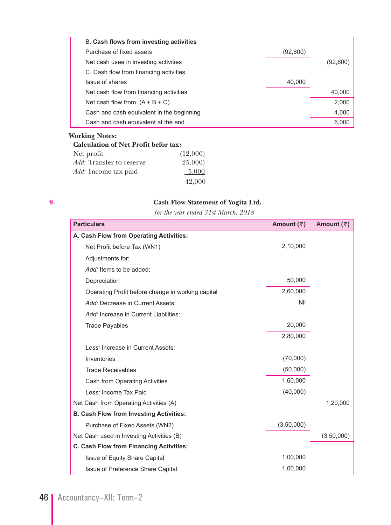| Purchase of fixed assets<br>(92,600)<br>Net cash usee in investing activities<br>(92,600)<br>C. Cash flow from financing activities<br>Issue of shares<br>40,000<br>Net cash flow from financing activities<br>40,000<br>Net cash flow from $(A + B + C)$<br>2.000<br>Cash and cash equivalent in the beginning<br>4,000<br>6,000 | <b>B. Cash flows from investing activities</b> |  |
|-----------------------------------------------------------------------------------------------------------------------------------------------------------------------------------------------------------------------------------------------------------------------------------------------------------------------------------|------------------------------------------------|--|
|                                                                                                                                                                                                                                                                                                                                   |                                                |  |
|                                                                                                                                                                                                                                                                                                                                   |                                                |  |
|                                                                                                                                                                                                                                                                                                                                   |                                                |  |
|                                                                                                                                                                                                                                                                                                                                   |                                                |  |
|                                                                                                                                                                                                                                                                                                                                   |                                                |  |
|                                                                                                                                                                                                                                                                                                                                   |                                                |  |
|                                                                                                                                                                                                                                                                                                                                   |                                                |  |
|                                                                                                                                                                                                                                                                                                                                   | Cash and cash equivalent at the end            |  |

|                                 | <b>Calculation of Net Profit befor tax:</b> |          |
|---------------------------------|---------------------------------------------|----------|
| Net profit                      |                                             | (12,000) |
| <i>Add:</i> Transfer to reserve |                                             | 25,000)  |
| <i>Add:</i> Income tax paid     |                                             | 5.000    |
|                                 |                                             | 42,000   |

### **9. Cash Flow Statement of Yogita Ltd.**

*for the year ended 31st March, 2018*

| <b>Particulars</b>                                | Amount $(3)$ | Amount $(3)$ |
|---------------------------------------------------|--------------|--------------|
| A. Cash Flow from Operating Activities:           |              |              |
| Net Profit before Tax (WN1)                       | 2,10,000     |              |
| Adjustments for:                                  |              |              |
| Add: Items to be added:                           |              |              |
| Depreciation                                      | 50,000       |              |
| Operating Profit before change in working capital | 2,60,000     |              |
| Add: Decrease in Current Assets:                  | Nil          |              |
| Add: Increase in Current Liabilities:             |              |              |
| <b>Trade Payables</b>                             | 20,000       |              |
|                                                   | 2,80,000     |              |
| Less: Increase in Current Assets:                 |              |              |
| Inventories                                       | (70,000)     |              |
| <b>Trade Receivables</b>                          | (50,000)     |              |
| <b>Cash from Operating Activities</b>             | 1,60,000     |              |
| Less: Income Tax Paid                             | (40,000)     |              |
| Net Cash from Operating Activities (A)            |              | 1,20,000     |
| <b>B. Cash Flow from Investing Activities:</b>    |              |              |
| Purchase of Fixed Assets (WN2)                    | (3,50,000)   |              |
| Net Cash used in Investing Activities (B)         |              | (3,50,000)   |
| C. Cash Flow from Financing Activities:           |              |              |
| Issue of Equity Share Capital                     | 1,00,000     |              |
| Issue of Preference Share Capital                 | 1,00,000     |              |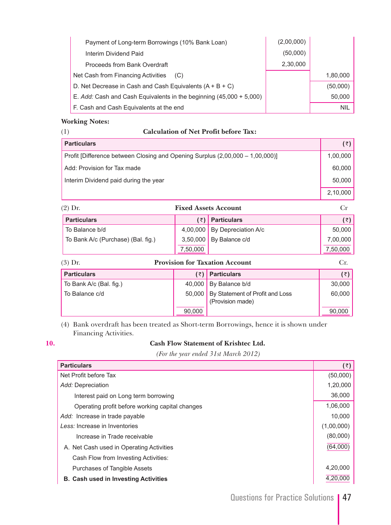| Payment of Long-term Borrowings (10% Bank Loan)                     | (2,00,000) |            |
|---------------------------------------------------------------------|------------|------------|
| Interim Dividend Paid                                               | (50,000)   |            |
| Proceeds from Bank Overdraft                                        | 2,30,000   |            |
| Net Cash from Financing Activities<br>(C)                           |            | 1,80,000   |
| D. Net Decrease in Cash and Cash Equivalents $(A + B + C)$          |            | (50,000)   |
| E. Add: Cash and Cash Equivalents in the beginning (45,000 + 5,000) |            | 50,000     |
| F. Cash and Cash Equivalents at the end                             |            | <b>NIL</b> |

#### (1) **Calculation of Net Profit before Tax:**

| <b>Particulars</b>                                                            | $(\bar{z})$ |
|-------------------------------------------------------------------------------|-------------|
| Profit [Difference between Closing and Opening Surplus (2,00,000 – 1,00,000)] | 1,00,000    |
| Add: Provision for Tax made                                                   | 60,000      |
| Interim Dividend paid during the year                                         | 50.000      |
|                                                                               | 2,10,000    |

| $(2)$ Dr.                          |          | <b>Fixed Assets Account</b>  |             |
|------------------------------------|----------|------------------------------|-------------|
| <b>Particulars</b>                 |          | $(\bar{z})$ Particulars      | $(\bar{z})$ |
| To Balance b/d                     |          | 4,00,000 By Depreciation A/c | 50,000      |
| To Bank A/c (Purchase) (Bal. fig.) | 3,50,000 | By Balance c/d               | 7,00,000    |
|                                    | 7,50,000 |                              | 7,50,000    |

| $(3)$ Dr.               | <b>Provision for Taxation Account</b> |                                                     |        |
|-------------------------|---------------------------------------|-----------------------------------------------------|--------|
| <b>Particulars</b>      | (₹)                                   | <b>Particulars</b>                                  | (₹)    |
| To Bank A/c (Bal. fig.) | 40,000                                | By Balance b/d                                      | 30,000 |
| To Balance c/d          | 50,000                                | By Statement of Profit and Loss<br>(Provision made) | 60,000 |
|                         | 90,000                                |                                                     | 90,000 |

 (4) Bank overdraft has been treated as Short-term Borrowings, hence it is shown under Financing Activities.

|   | ٦  |  |
|---|----|--|
| ٠ | ۰. |  |
|   |    |  |

#### **10. Cash Flow Statement of Krishtec Ltd.**

 *(For the year ended 31st March 2012)*

| <b>Particulars</b>                              | $(\bar{z})$ |
|-------------------------------------------------|-------------|
| Net Profit before Tax                           | (50,000)    |
| Add: Depreciation                               | 1,20,000    |
| Interest paid on Long term borrowing            | 36,000      |
| Operating profit before working capital changes | 1,06,000    |
| Add: Increase in trade payable                  | 10.000      |
| Less: Increase in Inventories                   | (1,00,000)  |
| Increase in Trade receivable                    | (80,000)    |
| A. Net Cash used in Operating Activities        | (64,000)    |
| Cash Flow from Investing Activities:            |             |
| Purchases of Tangible Assets                    | 4,20,000    |
| <b>B. Cash used in Investing Activities</b>     | 4.20.000    |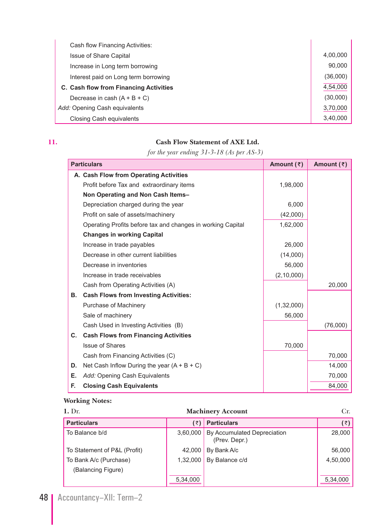| Cash flow Financing Activities:        |          |
|----------------------------------------|----------|
| <b>Issue of Share Capital</b>          | 4,00,000 |
| Increase in Long term borrowing        | 90,000   |
| Interest paid on Long term borrowing   | (36,000) |
| C. Cash flow from Financing Activities | 4,54,000 |
| Decrease in cash $(A + B + C)$         | (30,000) |
| Add: Opening Cash equivalents          | 3,70,000 |
| Closing Cash equivalents               | 3,40,000 |

### **11. Cash Flow Statement of AXE Ltd.**

 *for the year ending 31-3-18 (As per AS-3)*

|    | <b>Particulars</b>                                          | Amount $(3)$ | Amount $(3)$ |
|----|-------------------------------------------------------------|--------------|--------------|
|    | A. Cash Flow from Operating Activities                      |              |              |
|    | Profit before Tax and extraordinary items                   | 1,98,000     |              |
|    | Non Operating and Non Cash Items-                           |              |              |
|    | Depreciation charged during the year                        | 6,000        |              |
|    | Profit on sale of assets/machinery                          | (42,000)     |              |
|    | Operating Profits before tax and changes in working Capital | 1,62,000     |              |
|    | <b>Changes in working Capital</b>                           |              |              |
|    | Increase in trade payables                                  | 26,000       |              |
|    | Decrease in other current liabilities                       | (14,000)     |              |
|    | Decrease in inventories                                     | 56,000       |              |
|    | Increase in trade receivables                               | (2, 10, 000) |              |
|    | Cash from Operating Activities (A)                          |              | 20,000       |
| В. | <b>Cash Flows from Investing Activities:</b>                |              |              |
|    | Purchase of Machinery                                       | (1,32,000)   |              |
|    | Sale of machinery                                           | 56,000       |              |
|    | Cash Used in Investing Activities (B)                       |              | (76,000)     |
| C. | <b>Cash Flows from Financing Activities</b>                 |              |              |
|    | <b>Issue of Shares</b>                                      | 70,000       |              |
|    | Cash from Financing Activities (C)                          |              | 70,000       |
| D. | Net Cash Inflow During the year $(A + B + C)$               |              | 14,000       |
| Е. | Add: Opening Cash Equivalents                               |              | 70,000       |
| F. | <b>Closing Cash Equivalents</b>                             |              | 84,000       |

# **Working Notes:**

| $1.$ Dr.<br><b>Machinery Account</b> |          |                                              |          |
|--------------------------------------|----------|----------------------------------------------|----------|
| <b>Particulars</b>                   | (₹)      | <b>Particulars</b>                           | (₹)∣     |
| To Balance b/d                       | 3,60,000 | By Accumulated Depreciation<br>(Prev. Depr.) | 28,000   |
| To Statement of P&L (Profit)         | 42.000   | By Bank A/c                                  | 56,000   |
| To Bank A/c (Purchase)               | 1,32,000 | By Balance c/d                               | 4,50,000 |
| (Balancing Figure)                   |          |                                              |          |
|                                      | 5,34,000 |                                              | 5,34,000 |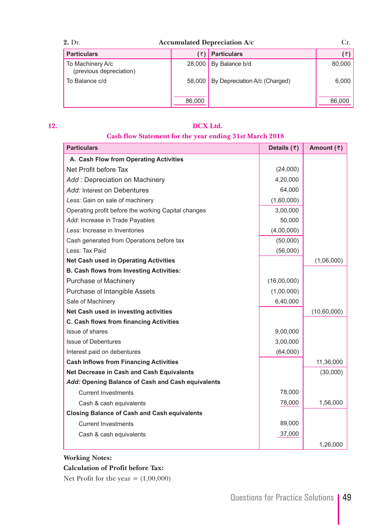| $2.$ Dr.<br><b>Accumulated Depreciation A/c</b> |        |                               | Cr.    |
|-------------------------------------------------|--------|-------------------------------|--------|
| <b>Particulars</b>                              | ′₹)    | <b>Particulars</b>            | (₹)∣   |
| To Machinery A/c<br>(previous depreciation)     | 28,000 | By Balance b/d                | 80,000 |
| To Balance c/d                                  | 58,000 | By Depreciation A/c (Charged) | 6,000  |
|                                                 | 86,000 |                               | 86,000 |

#### **12. DCX Ltd.**

# **Cash flow Statement for the year ending 31st March 2018**

| <b>Particulars</b>                                  | Details $(3)$ | Amount $(\bar{z})$ |
|-----------------------------------------------------|---------------|--------------------|
| A. Cash Flow from Operating Activities              |               |                    |
| Net Profit before Tax                               | (24,000)      |                    |
| Add : Depreciation on Machinery                     | 4,20,000      |                    |
| Add: Interest on Debentures                         | 64,000        |                    |
| Less: Gain on sale of machinery                     | (1,60,000)    |                    |
| Operating profit before the working Capital changes | 3,00,000      |                    |
| Add: Increase in Trade Payables                     | 50,000        |                    |
| Less: Increase in Inventories                       | (4,00,000)    |                    |
| Cash generated from Operations before tax           | (50,000)      |                    |
| Less: Tax Paid                                      | (56,000)      |                    |
| <b>Net Cash used in Operating Activities</b>        |               | (1,06,000)         |
| <b>B. Cash flows from Investing Activities:</b>     |               |                    |
| Purchase of Machinery                               | (16,00,000)   |                    |
| Purchase of Intangible Assets                       | (1,00,000)    |                    |
| Sale of Machinery                                   | 6,40,000      |                    |
| Net Cash used in investing activities               |               | (10,60,000)        |
| C. Cash flows from financing Activities             |               |                    |
| Issue of shares                                     | 9,00,000      |                    |
| <b>Issue of Debentures</b>                          | 3,00,000      |                    |
| Interest paid on debentures                         | (64,000)      |                    |
| <b>Cash Inflows from Financing Activities</b>       |               | 11,36,000          |
| Net Decrease in Cash and Cash Equivalents           |               | (30,000)           |
| Add: Opening Balance of Cash and Cash equivalents   |               |                    |
| <b>Current Investments</b>                          | 78,000        |                    |
| Cash & cash equivalents                             | 78,000        | 1,56,000           |
| <b>Closing Balance of Cash and Cash equivalents</b> |               |                    |
| <b>Current Investments</b>                          | 89,000        |                    |
| Cash & cash equivalents                             | 37,000        |                    |
|                                                     |               | 1,26,000           |

### **Working Notes:**

#### **Calculation of Profit before Tax:**

Net Profit for the year  $= (1,00,000)$